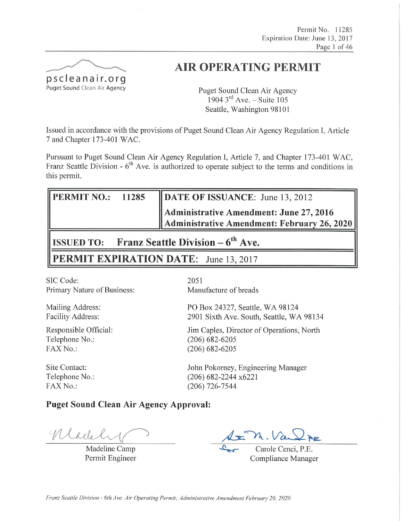Permit No. 11285 Expiration Date: June 13, 2017 Page 1 of 46



# **AIR OPERATING PERMIT**

Puget Sound Clean Air Agency 1904  $3^{\text{rd}}$  Ave. – Suite 105 Seattle, Washington 98101

Issued in accordance with the provisions of Puget Sound Clean Air Agency Regulation I, Article 7 and Chapter 173-401 WAC.

Pursuant to Puget Sound Clean Air Agency Regulation I, Article 7, and Chapter 173-401 WAC, Franz Seattle Division -  $6<sup>th</sup>$  Ave. is authorized to operate subject to the terms and conditions in this permit.

| $\parallel$ PERMIT NO.: 11285            |  | DATE OF ISSUANCE: June 13, 2012                                                        |  |  |  |  |
|------------------------------------------|--|----------------------------------------------------------------------------------------|--|--|--|--|
|                                          |  | Administrative Amendment: June 27, 2016<br>Administrative Amendment: February 26, 2020 |  |  |  |  |
| Franz Soottle Division<br>$\blacksquare$ |  |                                                                                        |  |  |  |  |

**Franz Seattle Division – 6 ISSUED TO:** Ave.

**PERMIT EXPIRATION DATE:** June 13, 2017

SIC Code: Primary Nature of Business:

Mailing Address: Facility Address:

Responsible Official: Telephone No.: FAX No.:

Site Contact: Telephone No.: FAX No.:

2051 Manufacture of breads

PO Box 24327, Seattle, WA 98124 2901 Sixth Ave. South, Seattle, WA 98134

Jim Caples, Director of Operations, North  $(206) 682 - 6205$  $(206)$  682-6205

John Pokorney, Engineering Manager (206) 682-2244 x6221  $(206)$  726-7544

# **Puget Sound Clean Air Agency Approval:**

Madel

Madeline Camp Permit Engineer

m. Va

Carole Cenci, P.E. Compliance Manager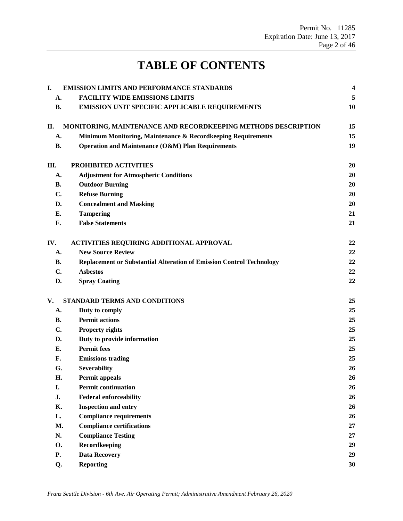# **TABLE OF CONTENTS**

| I.        | <b>EMISSION LIMITS AND PERFORMANCE STANDARDS</b>                            | 4  |
|-----------|-----------------------------------------------------------------------------|----|
| A.        | <b>FACILITY WIDE EMISSIONS LIMITS</b>                                       | 5  |
| <b>B.</b> | EMISSION UNIT SPECIFIC APPLICABLE REQUIREMENTS                              | 10 |
| П.        | MONITORING, MAINTENANCE AND RECORDKEEPING METHODS DESCRIPTION               | 15 |
| A.        | Minimum Monitoring, Maintenance & Recordkeeping Requirements                | 15 |
| <b>B.</b> | Operation and Maintenance (O&M) Plan Requirements                           | 19 |
| Ш.        | PROHIBITED ACTIVITIES                                                       | 20 |
| A.        | <b>Adjustment for Atmospheric Conditions</b>                                | 20 |
| <b>B.</b> | <b>Outdoor Burning</b>                                                      | 20 |
| C.        | <b>Refuse Burning</b>                                                       | 20 |
| D.        | <b>Concealment and Masking</b>                                              | 20 |
| E.        | <b>Tampering</b>                                                            | 21 |
| F.        | <b>False Statements</b>                                                     | 21 |
| IV.       | <b>ACTIVITIES REQUIRING ADDITIONAL APPROVAL</b>                             | 22 |
| A.        | <b>New Source Review</b>                                                    | 22 |
| В.        | <b>Replacement or Substantial Alteration of Emission Control Technology</b> | 22 |
| C.        | <b>Asbestos</b>                                                             | 22 |
| D.        | <b>Spray Coating</b>                                                        | 22 |
| V.        | STANDARD TERMS AND CONDITIONS                                               | 25 |
| A.        | Duty to comply                                                              | 25 |
| <b>B.</b> | <b>Permit actions</b>                                                       | 25 |
| C.        | <b>Property rights</b>                                                      | 25 |
| D.        | Duty to provide information                                                 | 25 |
| Е.        | <b>Permit fees</b>                                                          | 25 |
| F.        | <b>Emissions trading</b>                                                    | 25 |
| G.        | <b>Severability</b>                                                         | 26 |
| Η.        | Permit appeals                                                              | 26 |
| I.        | <b>Permit continuation</b>                                                  | 26 |
| J.        | <b>Federal enforceability</b>                                               | 26 |
| Κ.        | <b>Inspection and entry</b>                                                 | 26 |
| L.        | <b>Compliance requirements</b>                                              | 26 |
| M.        | <b>Compliance certifications</b>                                            | 27 |
| N.        | <b>Compliance Testing</b>                                                   | 27 |
| <b>O.</b> | Recordkeeping                                                               | 29 |
| P.        | <b>Data Recovery</b>                                                        | 29 |
| Q.        | <b>Reporting</b>                                                            | 30 |
|           |                                                                             |    |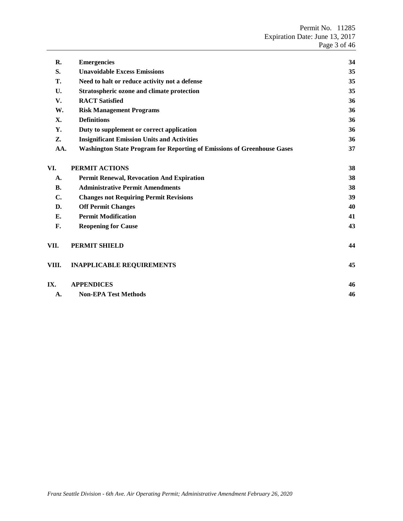| R.        | <b>Emergencies</b>                                                      | 34 |
|-----------|-------------------------------------------------------------------------|----|
| S.        | <b>Unavoidable Excess Emissions</b>                                     | 35 |
| Т.        | Need to halt or reduce activity not a defense                           | 35 |
| U.        | Stratospheric ozone and climate protection                              | 35 |
| V.        | <b>RACT</b> Satisfied                                                   | 36 |
| W.        | <b>Risk Management Programs</b>                                         | 36 |
| X.        | <b>Definitions</b>                                                      | 36 |
| Υ.        | Duty to supplement or correct application                               | 36 |
| Z.        | <b>Insignificant Emission Units and Activities</b>                      | 36 |
| AA.       | Washington State Program for Reporting of Emissions of Greenhouse Gases | 37 |
| VI.       | PERMIT ACTIONS                                                          | 38 |
| A.        | <b>Permit Renewal, Revocation And Expiration</b>                        | 38 |
| <b>B.</b> | <b>Administrative Permit Amendments</b>                                 | 38 |
| C.        | <b>Changes not Requiring Permit Revisions</b>                           | 39 |
| D.        | <b>Off Permit Changes</b>                                               | 40 |
| Е.        | <b>Permit Modification</b>                                              | 41 |
| F.        | <b>Reopening for Cause</b>                                              | 43 |
| VII.      | PERMIT SHIELD                                                           | 44 |
| VIII.     | <b>INAPPLICABLE REQUIREMENTS</b>                                        | 45 |
| IX.       | <b>APPENDICES</b>                                                       | 46 |
| А.        | <b>Non-EPA Test Methods</b>                                             | 46 |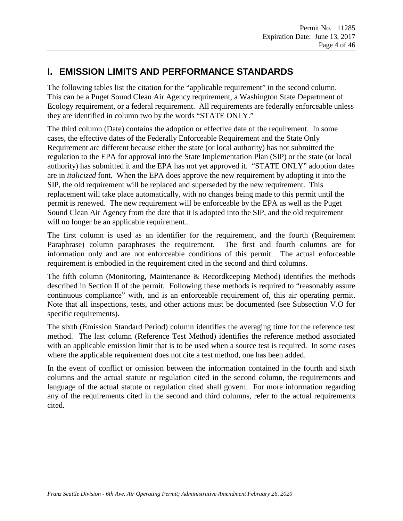# <span id="page-3-0"></span>**I. EMISSION LIMITS AND PERFORMANCE STANDARDS**

The following tables list the citation for the "applicable requirement" in the second column. This can be a Puget Sound Clean Air Agency requirement, a Washington State Department of Ecology requirement, or a federal requirement. All requirements are federally enforceable unless they are identified in column two by the words "STATE ONLY."

The third column (Date) contains the adoption or effective date of the requirement. In some cases, the effective dates of the Federally Enforceable Requirement and the State Only Requirement are different because either the state (or local authority) has not submitted the regulation to the EPA for approval into the State Implementation Plan (SIP) or the state (or local authority) has submitted it and the EPA has not yet approved it. "STATE ONLY" adoption dates are in *italicized* font. When the EPA does approve the new requirement by adopting it into the SIP, the old requirement will be replaced and superseded by the new requirement. This replacement will take place automatically, with no changes being made to this permit until the permit is renewed. The new requirement will be enforceable by the EPA as well as the Puget Sound Clean Air Agency from the date that it is adopted into the SIP, and the old requirement will no longer be an applicable requirement..

The first column is used as an identifier for the requirement, and the fourth (Requirement Paraphrase) column paraphrases the requirement. The first and fourth columns are for information only and are not enforceable conditions of this permit. The actual enforceable requirement is embodied in the requirement cited in the second and third columns.

The fifth column (Monitoring, Maintenance & Recordkeeping Method) identifies the methods described in Section II of the permit. Following these methods is required to "reasonably assure continuous compliance" with, and is an enforceable requirement of, this air operating permit. Note that all inspections, tests, and other actions must be documented (see Subsection V.O for specific requirements).

The sixth (Emission Standard Period) column identifies the averaging time for the reference test method. The last column (Reference Test Method) identifies the reference method associated with an applicable emission limit that is to be used when a source test is required. In some cases where the applicable requirement does not cite a test method, one has been added.

In the event of conflict or omission between the information contained in the fourth and sixth columns and the actual statute or regulation cited in the second column, the requirements and language of the actual statute or regulation cited shall govern. For more information regarding any of the requirements cited in the second and third columns, refer to the actual requirements cited.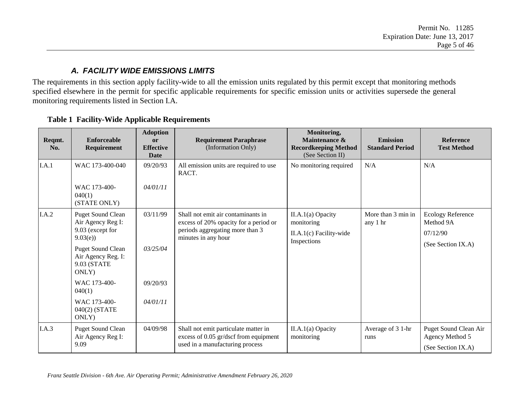### *A. FACILITY WIDE EMISSIONS LIMITS*

The requirements in this section apply facility-wide to all the emission units regulated by this permit except that monitoring methods specified elsewhere in the permit for specific applicable requirements for specific emission units or activities supersede the general monitoring requirements listed in Section I.A.

<span id="page-4-0"></span>

| Reqmt.<br>No. | Enforceable<br>Requirement                                             | <b>Adoption</b><br><b>or</b><br><b>Effective</b><br>Date                    | <b>Requirement Paraphrase</b><br>(Information Only)                           | Monitoring,<br>Maintenance &<br><b>Recordkeeping Method</b><br>(See Section II) | <b>Emission</b><br><b>Standard Period</b> | <b>Reference</b><br><b>Test Method</b>   |
|---------------|------------------------------------------------------------------------|-----------------------------------------------------------------------------|-------------------------------------------------------------------------------|---------------------------------------------------------------------------------|-------------------------------------------|------------------------------------------|
| I.A.1         | WAC 173-400-040                                                        | 09/20/93                                                                    | All emission units are required to use<br>RACT.                               | No monitoring required                                                          | N/A                                       | N/A                                      |
|               | WAC 173-400-<br>040(1)<br>(STATE ONLY)                                 | 04/01/11                                                                    |                                                                               |                                                                                 |                                           |                                          |
| I.A.2         | 03/11/99<br><b>Puget Sound Clean</b><br>Air Agency Reg I:              | Shall not emit air contaminants in<br>excess of 20% opacity for a period or | $II.A.1(a)$ Opacity<br>monitoring                                             | More than 3 min in<br>any 1 hr                                                  | <b>Ecology Reference</b><br>Method 9A     |                                          |
|               | 9.03 (except for<br>9.03(e)                                            |                                                                             | periods aggregating more than 3<br>minutes in any hour                        | II.A.1(c) Facility-wide<br>Inspections                                          |                                           | 07/12/90                                 |
|               | <b>Puget Sound Clean</b><br>Air Agency Reg. I:<br>9.03 (STATE<br>ONLY) | 03/25/04                                                                    |                                                                               |                                                                                 |                                           | (See Section IX.A)                       |
|               | WAC 173-400-<br>040(1)                                                 | 09/20/93                                                                    |                                                                               |                                                                                 |                                           |                                          |
|               | WAC 173-400-<br>$040(2)$ (STATE<br>ONLY)                               | 04/01/11                                                                    |                                                                               |                                                                                 |                                           |                                          |
| I.A.3         | <b>Puget Sound Clean</b><br>Air Agency Reg I:                          | 04/09/98                                                                    | Shall not emit particulate matter in<br>excess of 0.05 gr/dscf from equipment | $II.A.1(a)$ Opacity<br>monitoring                                               | Average of 3 1-hr<br>runs                 | Puget Sound Clean Air<br>Agency Method 5 |
|               | 9.09                                                                   |                                                                             | used in a manufacturing process                                               |                                                                                 |                                           | (See Section IX.A)                       |

#### **Table 1 Facility-Wide Applicable Requirements**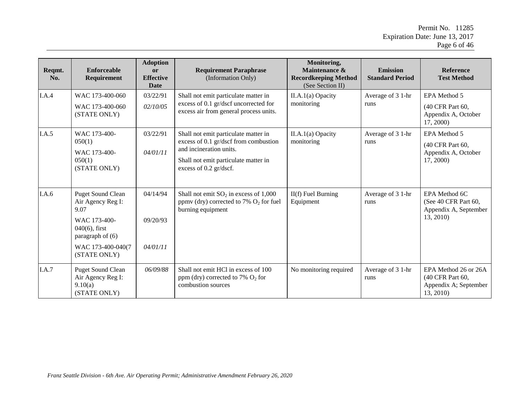| Reqmt.<br>No. | <b>Enforceable</b><br>Requirement                                                                                                                  | <b>Adoption</b><br><b>or</b><br><b>Effective</b><br>Date | <b>Requirement Paraphrase</b><br>(Information Only)                                                                                                                        | Monitoring,<br>Maintenance &<br><b>Recordkeeping Method</b><br>(See Section II) | <b>Emission</b><br><b>Standard Period</b> | <b>Reference</b><br><b>Test Method</b>                                         |
|---------------|----------------------------------------------------------------------------------------------------------------------------------------------------|----------------------------------------------------------|----------------------------------------------------------------------------------------------------------------------------------------------------------------------------|---------------------------------------------------------------------------------|-------------------------------------------|--------------------------------------------------------------------------------|
| I.A.4         | WAC 173-400-060<br>WAC 173-400-060<br>(STATE ONLY)                                                                                                 | 03/22/91<br>02/10/05                                     | Shall not emit particulate matter in<br>excess of 0.1 gr/dscf uncorrected for<br>excess air from general process units.                                                    | II.A.1(a) Opacity<br>monitoring                                                 | Average of 3 1-hr<br>runs                 | EPA Method 5<br>(40 CFR Part 60,<br>Appendix A, October<br>17, 2000)           |
| I.A.5         | WAC 173-400-<br>050(1)<br>WAC 173-400-<br>050(1)<br>(STATE ONLY)                                                                                   | 03/22/91<br>04/01/11                                     | Shall not emit particulate matter in<br>excess of 0.1 gr/dscf from combustion<br>and incineration units.<br>Shall not emit particulate matter in<br>excess of 0.2 gr/dscf. | $II.A.1(a)$ Opacity<br>monitoring                                               | Average of 3 1-hr<br>runs                 | EPA Method 5<br>(40 CFR Part 60,<br>Appendix A, October<br>17, 2000)           |
| I.A.6         | <b>Puget Sound Clean</b><br>Air Agency Reg I:<br>9.07<br>WAC 173-400-<br>$040(6)$ , first<br>paragraph of (6)<br>WAC 173-400-040(7<br>(STATE ONLY) | 04/14/94<br>09/20/93<br>04/01/11                         | Shall not emit $SO_2$ in excess of 1,000<br>ppmv (dry) corrected to 7% $O_2$ for fuel<br>burning equipment                                                                 | $II(f)$ Fuel Burning<br>Equipment                                               | Average of 3 1-hr<br>runs                 | EPA Method 6C<br>(See 40 CFR Part 60,<br>Appendix A, September<br>13, 2010)    |
| I.A.7         | <b>Puget Sound Clean</b><br>Air Agency Reg I:<br>9.10(a)<br>(STATE ONLY)                                                                           | 06/09/88                                                 | Shall not emit HCl in excess of 100<br>ppm (dry) corrected to 7% $O_2$ for<br>combustion sources                                                                           | No monitoring required                                                          | Average of 3 1-hr<br>runs                 | EPA Method 26 or 26A<br>(40 CFR Part 60,<br>Appendix A; September<br>13, 2010) |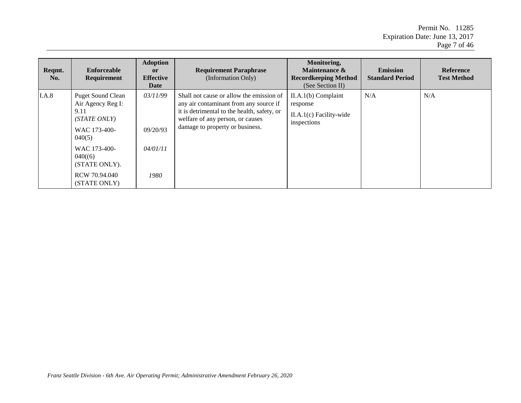Permit No. 11285 Expiration Date: June 13, 2017 Page 7 of 46

| Reqmt.<br>No. | Enforceable<br><b>Requirement</b>                                                               | <b>Adoption</b><br><sub>or</sub><br><b>Effective</b><br>Date | <b>Requirement Paraphrase</b><br>(Information Only)                                                                                                                                                      | Monitoring,<br>Maintenance &<br><b>Recordkeeping Method</b><br>(See Section II) | <b>Emission</b><br><b>Standard Period</b> | Reference<br><b>Test Method</b> |
|---------------|-------------------------------------------------------------------------------------------------|--------------------------------------------------------------|----------------------------------------------------------------------------------------------------------------------------------------------------------------------------------------------------------|---------------------------------------------------------------------------------|-------------------------------------------|---------------------------------|
| I.A.8         | <b>Puget Sound Clean</b><br>Air Agency Reg I:<br>9.11<br>(STATE ONLY)<br>WAC 173-400-<br>040(5) | 03/11/99<br>09/20/93                                         | Shall not cause or allow the emission of<br>any air contaminant from any source if<br>it is detrimental to the health, safety, or<br>welfare of any person, or causes<br>damage to property or business. | $II.A.1(b)$ Complaint<br>response<br>$II.A.1(c)$ Facility-wide<br>inspections   | N/A                                       | N/A                             |
|               | WAC 173-400-<br>040(6)<br>(STATE ONLY).                                                         | 04/01/11                                                     |                                                                                                                                                                                                          |                                                                                 |                                           |                                 |
|               | RCW 70.94.040<br>(STATE ONLY)                                                                   | 1980                                                         |                                                                                                                                                                                                          |                                                                                 |                                           |                                 |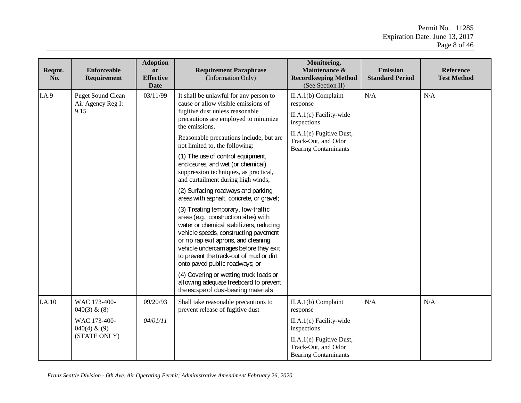Permit No. 11285 Expiration Date: June 13, 2017 Page 8 of 46

| Reqmt.<br>No. | Enforceable<br>Requirement                                                         | <b>Adoption</b><br>or<br><b>Effective</b><br><b>Date</b> | <b>Requirement Paraphrase</b><br>(Information Only)                                                                                                                                                                                                                                                                                                                                                                                                                                                                                                                                                                                                                                                                                                                                                                                                                                                                                                                | Monitoring,<br>Maintenance &<br><b>Recordkeeping Method</b><br>(See Section II)                                                                               | <b>Emission</b><br><b>Standard Period</b> | <b>Reference</b><br><b>Test Method</b> |
|---------------|------------------------------------------------------------------------------------|----------------------------------------------------------|--------------------------------------------------------------------------------------------------------------------------------------------------------------------------------------------------------------------------------------------------------------------------------------------------------------------------------------------------------------------------------------------------------------------------------------------------------------------------------------------------------------------------------------------------------------------------------------------------------------------------------------------------------------------------------------------------------------------------------------------------------------------------------------------------------------------------------------------------------------------------------------------------------------------------------------------------------------------|---------------------------------------------------------------------------------------------------------------------------------------------------------------|-------------------------------------------|----------------------------------------|
| I.A.9         | <b>Puget Sound Clean</b><br>Air Agency Reg I:<br>9.15                              | 03/11/99                                                 | It shall be unlawful for any person to<br>cause or allow visible emissions of<br>fugitive dust unless reasonable<br>precautions are employed to minimize<br>the emissions.<br>Reasonable precautions include, but are<br>not limited to, the following:<br>(1) The use of control equipment,<br>enclosures, and wet (or chemical)<br>suppression techniques, as practical,<br>and curtailment during high winds;<br>(2) Surfacing roadways and parking<br>areas with asphalt, concrete, or gravel;<br>(3) Treating temporary, low-traffic<br>areas (e.g., construction sites) with<br>water or chemical stabilizers, reducing<br>vehicle speeds, constructing pavement<br>or rip rap exit aprons, and cleaning<br>vehicle undercarriages before they exit<br>to prevent the track-out of mud or dirt<br>onto paved public roadways; or<br>(4) Covering or wetting truck loads or<br>allowing adequate freeboard to prevent<br>the escape of dust-bearing materials | II.A.1(b) Complaint<br>response<br>II.A.1(c) Facility-wide<br>inspections<br>II.A.1(e) Fugitive Dust,<br>Track-Out, and Odor<br><b>Bearing Contaminants</b>   | N/A                                       | N/A                                    |
| I.A.10        | WAC 173-400-<br>$040(3)$ & $(8)$<br>WAC 173-400-<br>$040(4)$ & (9)<br>(STATE ONLY) | 09/20/93<br>04/01/11                                     | Shall take reasonable precautions to<br>prevent release of fugitive dust                                                                                                                                                                                                                                                                                                                                                                                                                                                                                                                                                                                                                                                                                                                                                                                                                                                                                           | $II.A.1(b)$ Complaint<br>response<br>II.A.1(c) Facility-wide<br>inspections<br>II.A.1(e) Fugitive Dust,<br>Track-Out, and Odor<br><b>Bearing Contaminants</b> | N/A                                       | N/A                                    |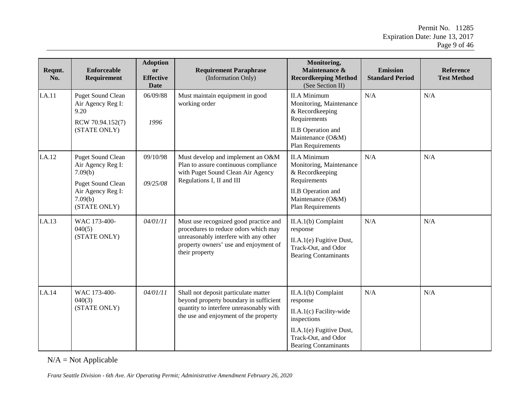Permit No. 11285 Expiration Date: June 13, 2017 Page 9 of 46

| Reqmt.<br>No. | <b>Enforceable</b><br>Requirement                                        | <b>Adoption</b><br>or<br><b>Effective</b><br><b>Date</b> | <b>Requirement Paraphrase</b><br>(Information Only)                                                                                                                               | Monitoring,<br>Maintenance &<br><b>Recordkeeping Method</b><br>(See Section II)                                                                             | <b>Emission</b><br><b>Standard Period</b> | <b>Reference</b><br><b>Test Method</b> |
|---------------|--------------------------------------------------------------------------|----------------------------------------------------------|-----------------------------------------------------------------------------------------------------------------------------------------------------------------------------------|-------------------------------------------------------------------------------------------------------------------------------------------------------------|-------------------------------------------|----------------------------------------|
| I.A.11        | <b>Puget Sound Clean</b><br>Air Agency Reg I:<br>9.20                    | 06/09/88<br>1996                                         | Must maintain equipment in good<br>working order                                                                                                                                  | <b>II.A Minimum</b><br>Monitoring, Maintenance<br>& Recordkeeping<br>Requirements                                                                           | N/A                                       | N/A                                    |
|               | RCW 70.94.152(7)<br>(STATE ONLY)                                         |                                                          |                                                                                                                                                                                   | <b>II.B</b> Operation and<br>Maintenance (O&M)<br><b>Plan Requirements</b>                                                                                  |                                           |                                        |
| I.A.12        | <b>Puget Sound Clean</b><br>Air Agency Reg I:<br>7.09(b)                 | 09/10/98                                                 | Must develop and implement an O&M<br>Plan to assure continuous compliance<br>with Puget Sound Clean Air Agency                                                                    | <b>II.A Minimum</b><br>Monitoring, Maintenance<br>& Recordkeeping                                                                                           | N/A                                       | N/A                                    |
|               | <b>Puget Sound Clean</b><br>Air Agency Reg I:<br>7.09(b)<br>(STATE ONLY) | 09/25/08                                                 | Regulations I, II and III                                                                                                                                                         | Requirements<br><b>II.B</b> Operation and<br>Maintenance (O&M)<br><b>Plan Requirements</b>                                                                  |                                           |                                        |
| I.A.13        | WAC 173-400-<br>040(5)<br>(STATE ONLY)                                   | 04/01/11                                                 | Must use recognized good practice and<br>procedures to reduce odors which may<br>unreasonably interfere with any other<br>property owners' use and enjoyment of<br>their property | II.A.1(b) Complaint<br>response<br>II.A.1(e) Fugitive Dust,<br>Track-Out, and Odor<br><b>Bearing Contaminants</b>                                           | N/A                                       | N/A                                    |
| I.A.14        | WAC 173-400-<br>040(3)<br>(STATE ONLY)                                   | 04/01/11                                                 | Shall not deposit particulate matter<br>beyond property boundary in sufficient<br>quantity to interfere unreasonably with<br>the use and enjoyment of the property                | II.A.1(b) Complaint<br>response<br>II.A.1(c) Facility-wide<br>inspections<br>II.A.1(e) Fugitive Dust,<br>Track-Out, and Odor<br><b>Bearing Contaminants</b> | N/A                                       | N/A                                    |

 $N/A = Not$  Applicable

*Franz Seattle Division - 6th Ave. Air Operating Permit; Administrative Amendment February 26, 2020*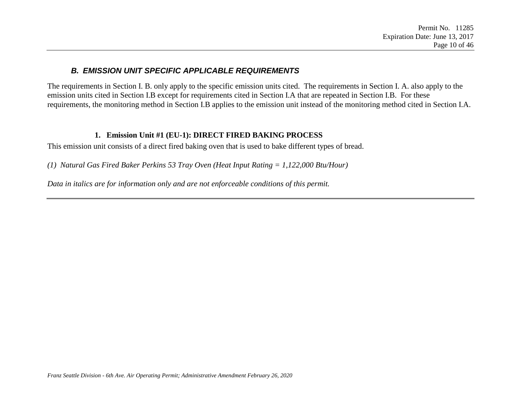#### *B. EMISSION UNIT SPECIFIC APPLICABLE REQUIREMENTS*

The requirements in Section I. B. only apply to the specific emission units cited. The requirements in Section I. A. also apply to the emission units cited in Section I.B except for requirements cited in Section I.A that are repeated in Section I.B. For these requirements, the monitoring method in Section I.B applies to the emission unit instead of the monitoring method cited in Section I.A.

#### **1. Emission Unit #1 (EU-1): DIRECT FIRED BAKING PROCESS**

This emission unit consists of a direct fired baking oven that is used to bake different types of bread.

*(1) Natural Gas Fired Baker Perkins 53 Tray Oven (Heat Input Rating = 1,122,000 Btu/Hour)*

<span id="page-9-0"></span>*Data in italics are for information only and are not enforceable conditions of this permit.*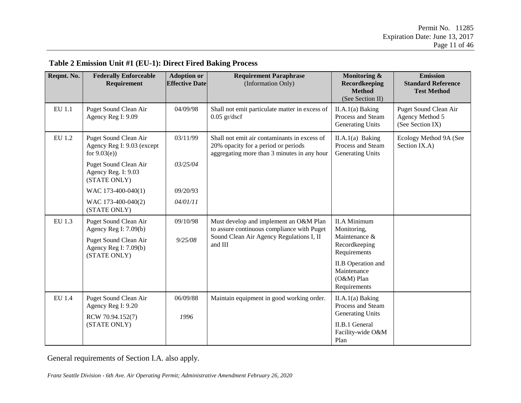| Reqmt. No. | <b>Federally Enforceable</b><br>Requirement                            | <b>Adoption or</b><br><b>Effective Date</b> | <b>Requirement Paraphrase</b><br>(Information Only)                                                                                | Monitoring &<br>Recordkeeping<br><b>Method</b><br>(See Section II)     | <b>Emission</b><br><b>Standard Reference</b><br><b>Test Method</b> |
|------------|------------------------------------------------------------------------|---------------------------------------------|------------------------------------------------------------------------------------------------------------------------------------|------------------------------------------------------------------------|--------------------------------------------------------------------|
| EU 1.1     | Puget Sound Clean Air<br>Agency Reg I: 9.09                            | 04/09/98                                    | Shall not emit particulate matter in excess of<br>$0.05$ gr/dscf                                                                   | $II.A.1(a)$ Baking<br>Process and Steam<br><b>Generating Units</b>     | Puget Sound Clean Air<br>Agency Method 5<br>(See Section IX)       |
| EU 1.2     | Puget Sound Clean Air<br>Agency Reg I: 9.03 (except<br>for $9.03(e)$ ) | 03/11/99                                    | Shall not emit air contaminants in excess of<br>20% opacity for a period or periods<br>aggregating more than 3 minutes in any hour | $II.A.1(a)$ Baking<br>Process and Steam<br><b>Generating Units</b>     | Ecology Method 9A (See<br>Section IX.A)                            |
|            | Puget Sound Clean Air<br>Agency Reg. I: 9.03<br>(STATE ONLY)           | 03/25/04                                    |                                                                                                                                    |                                                                        |                                                                    |
|            | WAC 173-400-040(1)                                                     | 09/20/93                                    |                                                                                                                                    |                                                                        |                                                                    |
|            | WAC 173-400-040(2)<br>(STATE ONLY)                                     | 04/01/11                                    |                                                                                                                                    |                                                                        |                                                                    |
| EU 1.3     | Puget Sound Clean Air<br>Agency Reg I: $7.09(b)$                       | 09/10/98                                    | Must develop and implement an O&M Plan<br>to assure continuous compliance with Puget                                               | <b>II.A Minimum</b><br>Monitoring,                                     |                                                                    |
|            | Puget Sound Clean Air<br>Agency Reg I: 7.09(b)<br>(STATE ONLY)         | 9/25/08                                     | Sound Clean Air Agency Regulations I, II<br>and III                                                                                | Maintenance &<br>Recordkeeping<br>Requirements                         |                                                                    |
|            |                                                                        |                                             |                                                                                                                                    | <b>II.B</b> Operation and<br>Maintenance<br>(O&M) Plan<br>Requirements |                                                                    |
| EU 1.4     | Puget Sound Clean Air<br>Agency Reg I: 9.20                            | 06/09/88                                    | Maintain equipment in good working order.                                                                                          | $II.A.1(a)$ Baking<br>Process and Steam                                |                                                                    |
|            | RCW 70.94.152(7)<br>(STATE ONLY)                                       | 1996                                        |                                                                                                                                    | <b>Generating Units</b><br>II.B.1 General<br>Facility-wide O&M<br>Plan |                                                                    |

#### **Table 2 Emission Unit #1 (EU-1): Direct Fired Baking Process**

General requirements of Section I.A. also apply.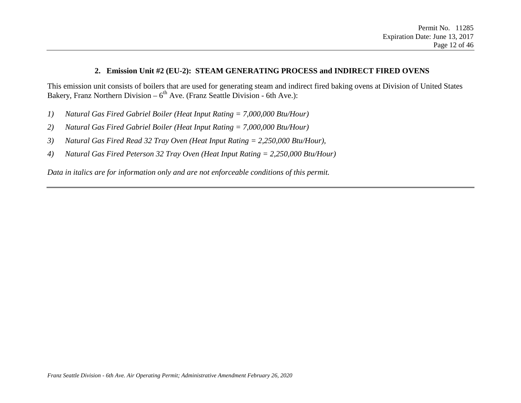#### **2. Emission Unit #2 (EU-2): STEAM GENERATING PROCESS and INDIRECT FIRED OVENS**

This emission unit consists of boilers that are used for generating steam and indirect fired baking ovens at Division of United States Bakery, Franz Northern Division –  $6<sup>th</sup>$  Ave. (Franz Seattle Division - 6th Ave.):

- *1) Natural Gas Fired Gabriel Boiler (Heat Input Rating = 7,000,000 Btu/Hour)*
- *2) Natural Gas Fired Gabriel Boiler (Heat Input Rating = 7,000,000 Btu/Hour)*
- *3) Natural Gas Fired Read 32 Tray Oven (Heat Input Rating = 2,250,000 Btu/Hour),*
- *4) Natural Gas Fired Peterson 32 Tray Oven (Heat Input Rating = 2,250,000 Btu/Hour)*

*Data in italics are for information only and are not enforceable conditions of this permit.*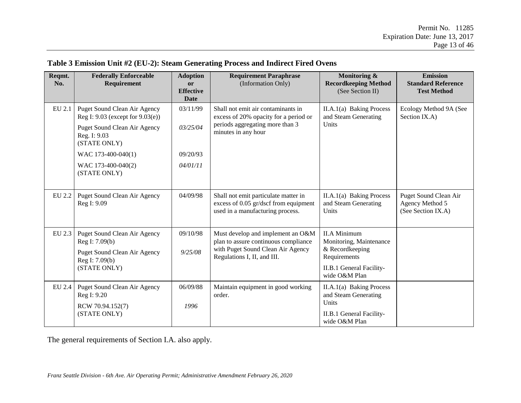#### **Table 3 Emission Unit #2 (EU-2): Steam Generating Process and Indirect Fired Ovens**

| Reqmt.<br>No. | <b>Federally Enforceable</b><br>Requirement                                                                                                  | <b>Adoption</b><br><b>or</b><br><b>Effective</b><br><b>Date</b> | <b>Requirement Paraphrase</b><br>(Information Only)                                                                                           | Monitoring &<br><b>Recordkeeping Method</b><br>(See Section II)                                                                | <b>Emission</b><br><b>Standard Reference</b><br><b>Test Method</b> |
|---------------|----------------------------------------------------------------------------------------------------------------------------------------------|-----------------------------------------------------------------|-----------------------------------------------------------------------------------------------------------------------------------------------|--------------------------------------------------------------------------------------------------------------------------------|--------------------------------------------------------------------|
| EU 2.1        | Puget Sound Clean Air Agency<br>Reg I: $9.03$ (except for $9.03(e)$ )<br><b>Puget Sound Clean Air Agency</b><br>Reg. I: 9.03<br>(STATE ONLY) | 03/11/99<br>03/25/04                                            | Shall not emit air contaminants in<br>excess of 20% opacity for a period or<br>periods aggregating more than 3<br>minutes in any hour         | $II.A.1(a)$ Baking Process<br>and Steam Generating<br>Units                                                                    | Ecology Method 9A (See<br>Section IX.A)                            |
|               | WAC 173-400-040(1)<br>WAC 173-400-040(2)<br>(STATE ONLY)                                                                                     | 09/20/93<br>04/01/11                                            |                                                                                                                                               |                                                                                                                                |                                                                    |
| EU 2.2        | Puget Sound Clean Air Agency<br>Reg I: 9.09                                                                                                  | 04/09/98                                                        | Shall not emit particulate matter in<br>excess of 0.05 gr/dscf from equipment<br>used in a manufacturing process.                             | II.A.1(a) Baking Process<br>and Steam Generating<br>Units                                                                      | Puget Sound Clean Air<br>Agency Method 5<br>(See Section IX.A)     |
| EU 2.3        | Puget Sound Clean Air Agency<br>Reg I: 7.09(b)<br><b>Puget Sound Clean Air Agency</b><br>Reg I: 7.09(b)<br>(STATE ONLY)                      | 09/10/98<br>9/25/08                                             | Must develop and implement an O&M<br>plan to assure continuous compliance<br>with Puget Sound Clean Air Agency<br>Regulations I, II, and III. | <b>II.A Minimum</b><br>Monitoring, Maintenance<br>& Recordkeeping<br>Requirements<br>II.B.1 General Facility-<br>wide O&M Plan |                                                                    |
| EU 2.4        | <b>Puget Sound Clean Air Agency</b><br>Reg I: 9.20<br>RCW 70.94.152(7)<br>(STATE ONLY)                                                       | 06/09/88<br>1996                                                | Maintain equipment in good working<br>order.                                                                                                  | II.A.1(a) Baking Process<br>and Steam Generating<br>Units<br>II.B.1 General Facility-<br>wide O&M Plan                         |                                                                    |

The general requirements of Section I.A. also apply.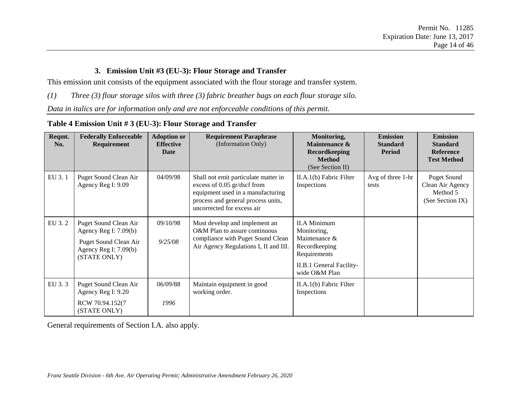#### **3. Emission Unit #3 (EU-3): Flour Storage and Transfer**

This emission unit consists of the equipment associated with the flour storage and transfer system.

*(1) Three (3) flour storage silos with three (3) fabric breather bags on each flour storage silo.*

*Data in italics are for information only and are not enforceable conditions of this permit.*

| Table 4 Emission Unit # 3 (EU-3): Flour Storage and Transfer |  |  |
|--------------------------------------------------------------|--|--|
|                                                              |  |  |

| Reqmt.<br>No. | <b>Federally Enforceable</b><br>Requirement                                                                        | <b>Adoption or</b><br><b>Effective</b><br>Date | <b>Requirement Paraphrase</b><br>(Information Only)                                                                                                                          | Monitoring,<br><b>Maintenance &amp;</b><br><b>Recordkeeping</b><br><b>Method</b><br>(See Section II)                              | <b>Emission</b><br><b>Standard</b><br><b>Period</b> | <b>Emission</b><br><b>Standard</b><br><b>Reference</b><br><b>Test Method</b> |
|---------------|--------------------------------------------------------------------------------------------------------------------|------------------------------------------------|------------------------------------------------------------------------------------------------------------------------------------------------------------------------------|-----------------------------------------------------------------------------------------------------------------------------------|-----------------------------------------------------|------------------------------------------------------------------------------|
| EU 3.1        | Puget Sound Clean Air<br>Agency Reg I: 9.09                                                                        | 04/09/98                                       | Shall not emit particulate matter in<br>excess of 0.05 gr/dscf from<br>equipment used in a manufacturing<br>process and general process units,<br>uncorrected for excess air | II.A.1(b) Fabric Filter<br>Inspections                                                                                            | Avg of three 1-hr<br>tests                          | <b>Puget Sound</b><br>Clean Air Agency<br>Method 5<br>(See Section IX)       |
| EU 3.2        | Puget Sound Clean Air<br>Agency Reg I: $7.09(b)$<br>Puget Sound Clean Air<br>Agency Reg I: 7.09(b)<br>(STATE ONLY) | 09/10/98<br>9/25/08                            | Must develop and implement an<br>O&M Plan to assure continuous<br>compliance with Puget Sound Clean<br>Air Agency Regulations I, II and III.                                 | <b>II.A Minimum</b><br>Monitoring,<br>Maintenance &<br>Recordkeeping<br>Requirements<br>II.B.1 General Facility-<br>wide O&M Plan |                                                     |                                                                              |
| EU 3.3        | Puget Sound Clean Air<br>Agency Reg I: 9.20<br>RCW 70.94.152(7<br>(STATE ONLY)                                     | 06/09/88<br>1996                               | Maintain equipment in good<br>working order.                                                                                                                                 | II.A.1(b) Fabric Filter<br>Inspections                                                                                            |                                                     |                                                                              |

General requirements of Section I.A. also apply.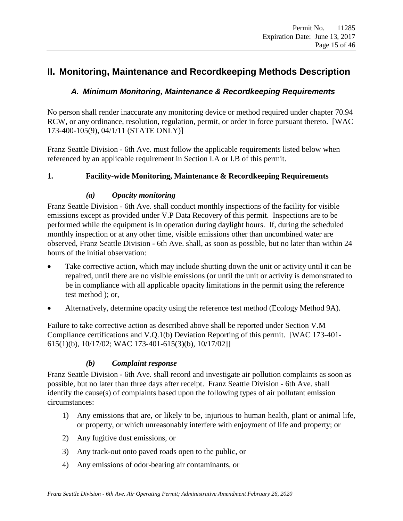# <span id="page-14-1"></span><span id="page-14-0"></span>**II. Monitoring, Maintenance and Recordkeeping Methods Description**

### *A. Minimum Monitoring, Maintenance & Recordkeeping Requirements*

No person shall render inaccurate any monitoring device or method required under chapter 70.94 RCW, or any ordinance, resolution, regulation, permit, or order in force pursuant thereto. [WAC 173-400-105(9), 04/1/11 (STATE ONLY)]

Franz Seattle Division - 6th Ave. must follow the applicable requirements listed below when referenced by an applicable requirement in Section I.A or I.B of this permit.

#### <span id="page-14-2"></span>**1. Facility-wide Monitoring, Maintenance & Recordkeeping Requirements**

#### *(a) Opacity monitoring*

Franz Seattle Division - 6th Ave. shall conduct monthly inspections of the facility for visible emissions except as provided under V.P [Data Recovery](#page-28-1) of this permit. Inspections are to be performed while the equipment is in operation during daylight hours. If, during the scheduled monthly inspection or at any other time, visible emissions other than uncombined water are observed, Franz Seattle Division - 6th Ave. shall, as soon as possible, but no later than within 24 hours of the initial observation:

- Take corrective action, which may include shutting down the unit or activity until it can be repaired, until there are no visible emissions (or until the unit or activity is demonstrated to be in compliance with all applicable opacity limitations in the permit using the reference test method ); or,
- Alternatively, determine opacity using the reference test method (Ecology Method 9A).

Failure to take corrective action as described above shall be reported under Section [V.M](#page-26-0) [Compliance certifications](#page-26-0) and [V.Q.](#page-29-0)1(b) Deviation [Reporting](#page-29-0) of this permit. [WAC 173-401- 615(1)(b), 10/17/02; WAC 173-401-615(3)(b), 10/17/02]]

#### *(b) Complaint response*

Franz Seattle Division - 6th Ave. shall record and investigate air pollution complaints as soon as possible, but no later than three days after receipt. Franz Seattle Division - 6th Ave. shall identify the cause(s) of complaints based upon the following types of air pollutant emission circumstances:

- 1) Any emissions that are, or likely to be, injurious to human health, plant or animal life, or property, or which unreasonably interfere with enjoyment of life and property; or
- 2) Any fugitive dust emissions, or
- 3) Any track-out onto paved roads open to the public, or
- 4) Any emissions of odor-bearing air contaminants, or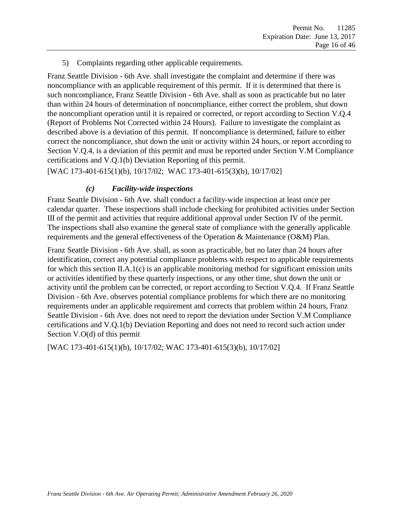5) Complaints regarding other applicable requirements.

Franz Seattle Division - 6th Ave. shall investigate the complaint and determine if there was noncompliance with an applicable requirement of this permit. If it is determined that there is such noncompliance, Franz Seattle Division - 6th Ave. shall as soon as practicable but no later than within 24 hours of determination of noncompliance, either correct the problem, shut down the noncompliant operation until it is repaired or corrected, or report according to Section V.Q.4 (Report of Problems Not Corrected within 24 Hours). Failure to investigate the complaint as described above is a deviation of this permit. If noncompliance is determined, failure to either correct the noncompliance, shut down the unit or activity within 24 hours, or report according to Section V.Q.4, is a deviation of this permit and must be reported under Section [V.M](#page-26-0) [Compliance](#page-26-0)  [certifications](#page-26-0) and V.Q.1(b) Deviation [Reporting](#page-29-0) of this permit.

[WAC 173-401-615(1)(b), 10/17/02; WAC 173-401-615(3)(b), 10/17/02]

#### *(c) Facility-wide inspections*

Franz Seattle Division - 6th Ave. shall conduct a facility-wide inspection at least once per calendar quarter. These inspections shall include checking for prohibited activities under Section III of the permit and activities that require additional approval under Section IV of the permit. The inspections shall also examine the general state of compliance with the generally applicable requirements and the general effectiveness of the Operation & Maintenance (O&M) Plan.

Franz Seattle Division - 6th Ave. shall, as soon as practicable, but no later than 24 hours after identification, correct any potential compliance problems with respect to applicable requirements for which this section II.A.1(c) is an applicable monitoring method for significant emission units or activities identified by these quarterly inspections, or any other time, shut down the unit or activity until the problem can be corrected, or report according to Section V.Q.4. If Franz Seattle Division - 6th Ave. observes potential compliance problems for which there are no monitoring requirements under an applicable requirement and corrects that problem within 24 hours, Franz Seattle Division - 6th Ave. does not need to report the deviation under Section V.M [Compliance](#page-26-0)  [certifications](#page-26-0) and V.Q.1(b) Deviation [Reporting](#page-29-0) and does not need to record such action under Section V.O(d) of this permit

[WAC 173-401-615(1)(b), 10/17/02; WAC 173-401-615(3)(b), 10/17/02]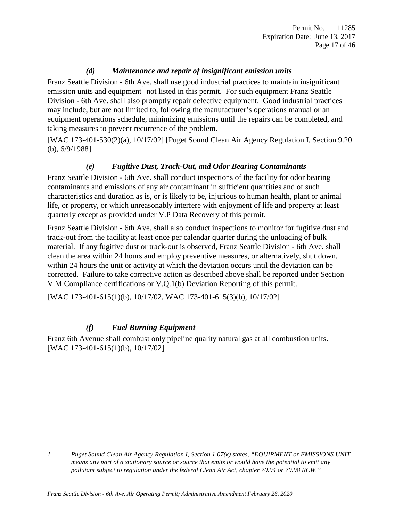### *(d) Maintenance and repair of insignificant emission units*

<span id="page-16-2"></span>Franz Seattle Division - 6th Ave. shall use good industrial practices to maintain insignificant emission units and equipment<sup>[1](#page-16-1)</sup> not listed in this permit. For such equipment Franz Seattle Division - 6th Ave. shall also promptly repair defective equipment. Good industrial practices may include, but are not limited to, following the manufacturer's operations manual or an equipment operations schedule, minimizing emissions until the repairs can be completed, and taking measures to prevent recurrence of the problem.

<span id="page-16-3"></span>[WAC 173-401-530(2)(a), 10/17/02] [Puget Sound Clean Air Agency Regulation I, Section 9.20 (b), 6/9/1988]

#### *(e) Fugitive Dust, Track-Out, and Odor Bearing Contaminants*

<span id="page-16-0"></span>Franz Seattle Division - 6th Ave. shall conduct inspections of the facility for odor bearing contaminants and emissions of any air contaminant in sufficient quantities and of such characteristics and duration as is, or is likely to be, injurious to human health, plant or animal life, or property, or which unreasonably interfere with enjoyment of life and property at least quarterly except as provided under V.P [Data Recovery](#page-28-1) of this permit.

Franz Seattle Division - 6th Ave. shall also conduct inspections to monitor for fugitive dust and track-out from the facility at least once per calendar quarter during the unloading of bulk material. If any fugitive dust or track-out is observed, Franz Seattle Division - 6th Ave. shall clean the area within 24 hours and employ preventive measures, or alternatively, shut down, within 24 hours the unit or activity at which the deviation occurs until the deviation can be corrected. Failure to take corrective action as described above shall be reported under Section [V.M](#page-26-0) [Compliance certifications](#page-26-0) or V.Q.1(b) Deviation [Reporting](#page-29-0) of this permit.

[WAC 173-401-615(1)(b), 10/17/02, WAC 173-401-615(3)(b), 10/17/02]

### *(f) Fuel Burning Equipment*

Franz 6th Avenue shall combust only pipeline quality natural gas at all combustion units. [WAC 173-401-615(1)(b), 10/17/02]

<span id="page-16-1"></span> $\overline{a}$ *1 Puget Sound Clean Air Agency Regulation I, Section 1.07(k) states, "EQUIPMENT or EMISSIONS UNIT means any part of a stationary source or source that emits or would have the potential to emit any pollutant subject to regulation under the federal Clean Air Act, chapter 70.94 or 70.98 RCW."*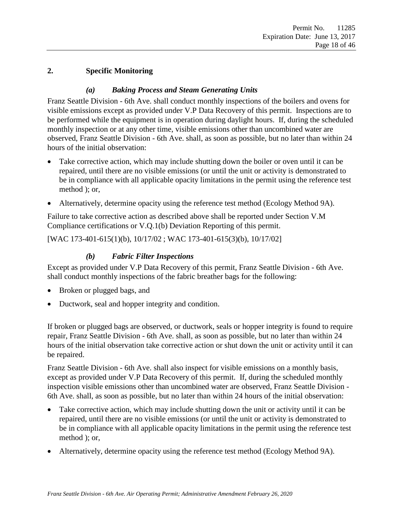#### <span id="page-17-2"></span><span id="page-17-0"></span>**2. Specific Monitoring**

#### *(a) Baking Process and Steam Generating Units*

<span id="page-17-1"></span>Franz Seattle Division - 6th Ave. shall conduct monthly inspections of the boilers and ovens for visible emissions except as provided under [V.P](#page-28-1) [Data Recovery](#page-28-1) of this permit. Inspections are to be performed while the equipment is in operation during daylight hours. If, during the scheduled monthly inspection or at any other time, visible emissions other than uncombined water are observed, Franz Seattle Division - 6th Ave. shall, as soon as possible, but no later than within 24 hours of the initial observation:

- Take corrective action, which may include shutting down the boiler or oven until it can be repaired, until there are no visible emissions (or until the unit or activity is demonstrated to be in compliance with all applicable opacity limitations in the permit using the reference test method ); or,
- Alternatively, determine opacity using the reference test method (Ecology Method 9A).

Failure to take corrective action as described above shall be reported under Section V.M [Compliance certifications](#page-26-0) or V.Q.1(b) Deviation [Reporting](#page-29-0) of this permit.

<span id="page-17-3"></span>[WAC 173-401-615(1)(b), 10/17/02 ; WAC 173-401-615(3)(b), 10/17/02]

#### *(b) Fabric Filter Inspections*

Except as provided under [V.P](#page-28-1) [Data Recovery](#page-28-1) of this permit, Franz Seattle Division - 6th Ave. shall conduct monthly inspections of the fabric breather bags for the following:

- Broken or plugged bags, and
- Ductwork, seal and hopper integrity and condition.

If broken or plugged bags are observed, or ductwork, seals or hopper integrity is found to require repair, Franz Seattle Division - 6th Ave. shall, as soon as possible, but no later than within 24 hours of the initial observation take corrective action or shut down the unit or activity until it can be repaired.

Franz Seattle Division - 6th Ave. shall also inspect for visible emissions on a monthly basis, except as provided under [V.P](#page-28-1) [Data Recovery](#page-28-1) of this permit. If, during the scheduled monthly inspection visible emissions other than uncombined water are observed, Franz Seattle Division - 6th Ave. shall, as soon as possible, but no later than within 24 hours of the initial observation:

- Take corrective action, which may include shutting down the unit or activity until it can be repaired, until there are no visible emissions (or until the unit or activity is demonstrated to be in compliance with all applicable opacity limitations in the permit using the reference test method ); or,
- Alternatively, determine opacity using the reference test method (Ecology Method 9A).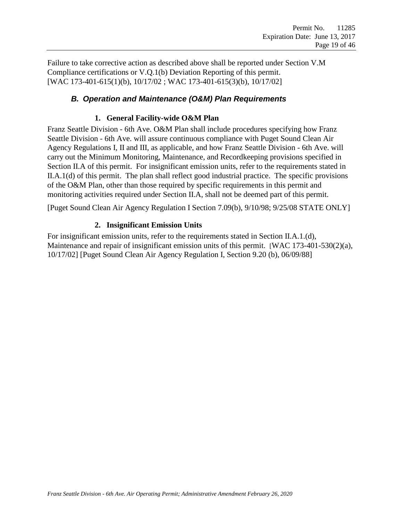Failure to take corrective action as described above shall be reported under Section V.M [Compliance certifications](#page-26-0) or V.Q.1(b) Deviation [Reporting](#page-29-0) of this permit. [WAC 173-401-615(1)(b), 10/17/02 ; WAC 173-401-615(3)(b), 10/17/02]

#### <span id="page-18-0"></span>*B. Operation and Maintenance (O&M) Plan Requirements*

#### **1. General Facility-wide O&M Plan**

Franz Seattle Division - 6th Ave. O&M Plan shall include procedures specifying how Franz Seattle Division - 6th Ave. will assure continuous compliance with Puget Sound Clean Air Agency Regulations I, II and III, as applicable, and how Franz Seattle Division - 6th Ave. will carry out the Minimum Monitoring, Maintenance, and Recordkeeping provisions specified in Section II.A of this permit. For insignificant emission units, refer to the requirements stated in II.A.1(d) of this permit. The plan shall reflect good industrial practice. The specific provisions of the O&M Plan, other than those required by specific requirements in this permit and monitoring activities required under Section II.A, shall not be deemed part of this permit.

[Puget Sound Clean Air Agency Regulation I Section 7.09(b), 9/10/98; 9/25/08 STATE ONLY]

#### **2. Insignificant Emission Units**

For insignificant emission units, refer to the requirements stated in Section II.A.1[.\(d\),](#page-16-2) [Maintenance and repair of insignificant emission units](#page-16-2) of this permit. [WAC 173-401-530(2)(a), 10/17/02] [Puget Sound Clean Air Agency Regulation I, Section 9.20 (b), 06/09/88]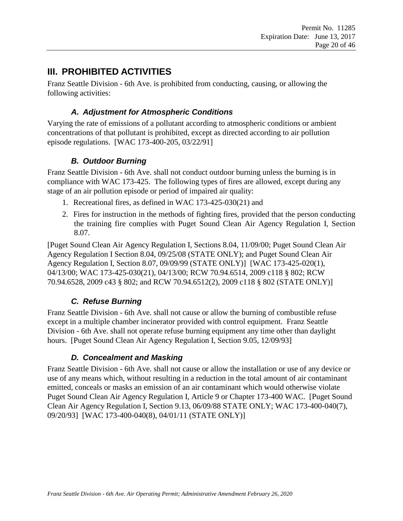# <span id="page-19-0"></span>**III. PROHIBITED ACTIVITIES**

<span id="page-19-1"></span>Franz Seattle Division - 6th Ave. is prohibited from conducting, causing, or allowing the following activities:

### *A. Adjustment for Atmospheric Conditions*

Varying the rate of emissions of a pollutant according to atmospheric conditions or ambient concentrations of that pollutant is prohibited, except as directed according to air pollution episode regulations. [WAC 173-400-205, 03/22/91]

# *B. Outdoor Burning*

<span id="page-19-2"></span>Franz Seattle Division - 6th Ave. shall not conduct outdoor burning unless the burning is in compliance with WAC 173-425. The following types of fires are allowed, except during any stage of an air pollution episode or period of impaired air quality:

- 1. Recreational fires, as defined in WAC 173-425-030(21) and
- 2. Fires for instruction in the methods of fighting fires, provided that the person conducting the training fire complies with Puget Sound Clean Air Agency Regulation I, Section 8.07.

[Puget Sound Clean Air Agency Regulation I, Sections 8.04, 11/09/00; Puget Sound Clean Air Agency Regulation I Section 8.04, 09/25/08 (STATE ONLY); and Puget Sound Clean Air Agency Regulation I, Section 8.07, 09/09/99 (STATE ONLY)] [WAC 173-425-020(1), 04/13/00; WAC 173-425-030(21), 04/13/00; RCW 70.94.6514, 2009 c118 § 802; RCW 70.94.6528, 2009 c43 § 802; and RCW 70.94.6512(2), 2009 c118 § 802 (STATE ONLY)]

# *C. Refuse Burning*

<span id="page-19-3"></span>Franz Seattle Division - 6th Ave. shall not cause or allow the burning of combustible refuse except in a multiple chamber incinerator provided with control equipment. Franz Seattle Division - 6th Ave. shall not operate refuse burning equipment any time other than daylight hours. [Puget Sound Clean Air Agency Regulation I, Section 9.05, 12/09/93]

# *D. Concealment and Masking*

<span id="page-19-4"></span>Franz Seattle Division - 6th Ave. shall not cause or allow the installation or use of any device or use of any means which, without resulting in a reduction in the total amount of air contaminant emitted, conceals or masks an emission of an air contaminant which would otherwise violate Puget Sound Clean Air Agency Regulation I, Article 9 or Chapter 173-400 WAC. [Puget Sound Clean Air Agency Regulation I, Section 9.13, 06/09/88 STATE ONLY; WAC 173-400-040(7), 09/20/93] [WAC 173-400-040(8), 04/01/11 (STATE ONLY)]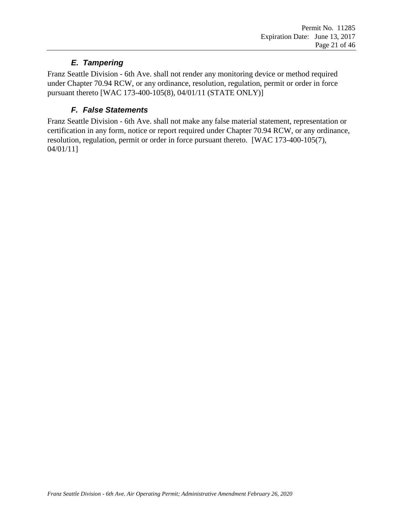# *E. Tampering*

<span id="page-20-0"></span>Franz Seattle Division - 6th Ave. shall not render any monitoring device or method required under Chapter 70.94 RCW, or any ordinance, resolution, regulation, permit or order in force pursuant thereto [WAC 173-400-105(8), 04/01/11 (STATE ONLY)]

# *F. False Statements*

<span id="page-20-1"></span>Franz Seattle Division - 6th Ave. shall not make any false material statement, representation or certification in any form, notice or report required under Chapter 70.94 RCW, or any ordinance, resolution, regulation, permit or order in force pursuant thereto. [WAC 173-400-105(7), 04/01/11]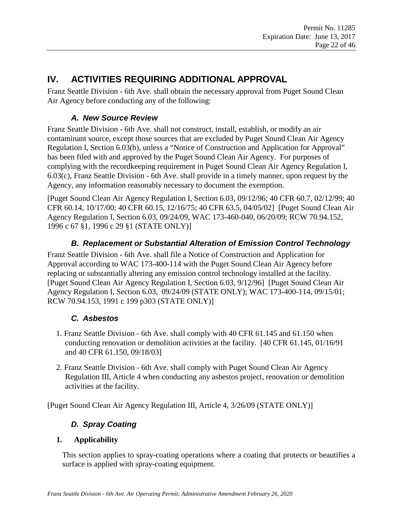# <span id="page-21-0"></span>**IV. ACTIVITIES REQUIRING ADDITIONAL APPROVAL**

<span id="page-21-1"></span>Franz Seattle Division - 6th Ave. shall obtain the necessary approval from Puget Sound Clean Air Agency before conducting any of the following:

### *A. New Source Review*

Franz Seattle Division - 6th Ave. shall not construct, install, establish, or modify an air contaminant source, except those sources that are excluded by Puget Sound Clean Air Agency Regulation I, Section 6.03(b), unless a "Notice of Construction and Application for Approval" has been filed with and approved by the Puget Sound Clean Air Agency. For purposes of complying with the recordkeeping requirement in Puget Sound Clean Air Agency Regulation I, 6.03(c), Franz Seattle Division - 6th Ave. shall provide in a timely manner, upon request by the Agency, any information reasonably necessary to document the exemption.

[Puget Sound Clean Air Agency Regulation I, Section 6.03, 09/12/96; 40 CFR 60.7, 02/12/99; 40 CFR 60.14, 10/17/00; 40 CFR 60.15, 12/16/75; 40 CFR 63.5, 04/05/02] [Puget Sound Clean Air Agency Regulation I, Section 6.03, 09/24/09, WAC 173-460-040, 06/20/09; RCW 70.94.152, 1996 c 67 §1, 1996 c 29 §1 (STATE ONLY)]

### *B. Replacement or Substantial Alteration of Emission Control Technology*

<span id="page-21-2"></span>Franz Seattle Division - 6th Ave. shall file a Notice of Construction and Application for Approval according to WAC 173-400-114 with the Puget Sound Clean Air Agency before replacing or substantially altering any emission control technology installed at the facility. [Puget Sound Clean Air Agency Regulation I, Section 6.03, 9/12/96] [Puget Sound Clean Air Agency Regulation I, Section 6.03, 09/24/09 (STATE ONLY); WAC 173-400-114, 09/15/01; RCW 70.94.153, 1991 c 199 p303 (STATE ONLY)]

### *C. Asbestos*

- <span id="page-21-3"></span>1. Franz Seattle Division - 6th Ave. shall comply with 40 CFR 61.145 and 61.150 when conducting renovation or demolition activities at the facility. [40 CFR 61.145, 01/16/91 and 40 CFR 61.150, 09/18/03]
- 2. Franz Seattle Division 6th Ave. shall comply with Puget Sound Clean Air Agency Regulation III, Article 4 when conducting any asbestos project, renovation or demolition activities at the facility.

<span id="page-21-4"></span>[Puget Sound Clean Air Agency Regulation III, Article 4, 3/26/09 (STATE ONLY)]

# *D. Spray Coating*

### **1. Applicability**

This section applies to spray-coating operations where a coating that protects or beautifies a surface is applied with spray-coating equipment.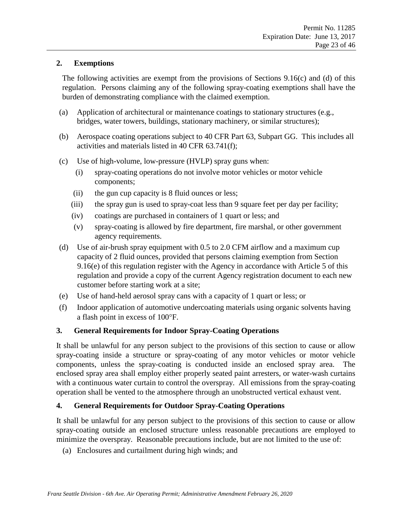#### **2. Exemptions**

The following activities are exempt from the provisions of Sections 9.16(c) and (d) of this regulation. Persons claiming any of the following spray-coating exemptions shall have the burden of demonstrating compliance with the claimed exemption.

- (a) Application of architectural or maintenance coatings to stationary structures (e.g., bridges, water towers, buildings, stationary machinery, or similar structures);
- (b) Aerospace coating operations subject to 40 CFR Part 63, Subpart GG. This includes all activities and materials listed in 40 CFR 63.741(f);
- (c) Use of high-volume, low-pressure (HVLP) spray guns when:
	- (i) spray-coating operations do not involve motor vehicles or motor vehicle components;
	- (ii) the gun cup capacity is 8 fluid ounces or less;
	- (iii) the spray gun is used to spray-coat less than 9 square feet per day per facility;
	- (iv) coatings are purchased in containers of 1 quart or less; and
	- (v) spray-coating is allowed by fire department, fire marshal, or other government agency requirements.
- (d) Use of air-brush spray equipment with 0.5 to 2.0 CFM airflow and a maximum cup capacity of 2 fluid ounces, provided that persons claiming exemption from Section 9.16(e) of this regulation register with the Agency in accordance with Article 5 of this regulation and provide a copy of the current Agency registration document to each new customer before starting work at a site;
- (e) Use of hand-held aerosol spray cans with a capacity of 1 quart or less; or
- (f) Indoor application of automotive undercoating materials using organic solvents having a flash point in excess of 100°F.

#### **3. General Requirements for Indoor Spray-Coating Operations**

It shall be unlawful for any person subject to the provisions of this section to cause or allow spray-coating inside a structure or spray-coating of any motor vehicles or motor vehicle components, unless the spray-coating is conducted inside an enclosed spray area. The enclosed spray area shall employ either properly seated paint arresters, or water-wash curtains with a continuous water curtain to control the overspray. All emissions from the spray-coating operation shall be vented to the atmosphere through an unobstructed vertical exhaust vent.

#### **4. General Requirements for Outdoor Spray-Coating Operations**

It shall be unlawful for any person subject to the provisions of this section to cause or allow spray-coating outside an enclosed structure unless reasonable precautions are employed to minimize the overspray. Reasonable precautions include, but are not limited to the use of:

(a) Enclosures and curtailment during high winds; and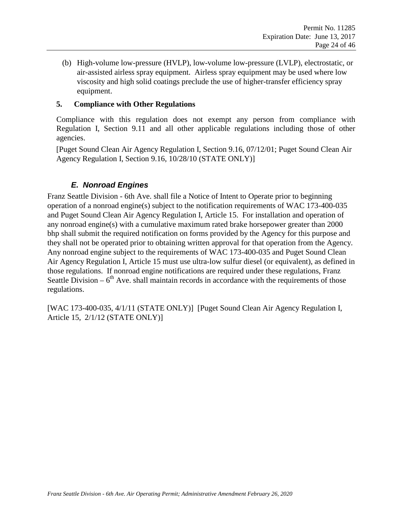(b) High-volume low-pressure (HVLP), low-volume low-pressure (LVLP), electrostatic, or air-assisted airless spray equipment. Airless spray equipment may be used where low viscosity and high solid coatings preclude the use of higher-transfer efficiency spray equipment.

#### **5. Compliance with Other Regulations**

Compliance with this regulation does not exempt any person from compliance with Regulation I, Section 9.11 and all other applicable regulations including those of other agencies.

[Puget Sound Clean Air Agency Regulation I, Section 9.16, 07/12/01; Puget Sound Clean Air Agency Regulation I, Section 9.16, 10/28/10 (STATE ONLY)]

#### *E. Nonroad Engines*

Franz Seattle Division - 6th Ave. shall file a Notice of Intent to Operate prior to beginning operation of a nonroad engine(s) subject to the notification requirements of WAC 173-400-035 and Puget Sound Clean Air Agency Regulation I, Article 15. For installation and operation of any nonroad engine(s) with a cumulative maximum rated brake horsepower greater than 2000 bhp shall submit the required notification on forms provided by the Agency for this purpose and they shall not be operated prior to obtaining written approval for that operation from the Agency. Any nonroad engine subject to the requirements of WAC 173-400-035 and Puget Sound Clean Air Agency Regulation I, Article 15 must use ultra-low sulfur diesel (or equivalent), as defined in those regulations. If nonroad engine notifications are required under these regulations, Franz Seattle Division –  $6<sup>th</sup>$  Ave. shall maintain records in accordance with the requirements of those regulations.

[WAC 173-400-035, 4/1/11 (STATE ONLY)] [Puget Sound Clean Air Agency Regulation I, Article 15, 2/1/12 (STATE ONLY)]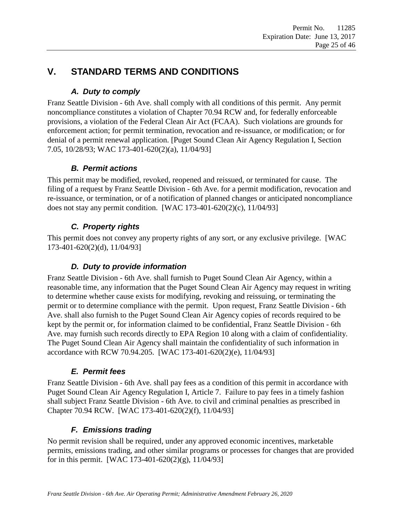# <span id="page-24-1"></span><span id="page-24-0"></span>**V. STANDARD TERMS AND CONDITIONS**

# *A. Duty to comply*

Franz Seattle Division - 6th Ave. shall comply with all conditions of this permit. Any permit noncompliance constitutes a violation of Chapter 70.94 RCW and, for federally enforceable provisions, a violation of the Federal Clean Air Act (FCAA). Such violations are grounds for enforcement action; for permit termination, revocation and re-issuance, or modification; or for denial of a permit renewal application. [Puget Sound Clean Air Agency Regulation I, Section 7.05, 10/28/93; WAC 173-401-620(2)(a), 11/04/93]

# *B. Permit actions*

<span id="page-24-2"></span>This permit may be modified, revoked, reopened and reissued, or terminated for cause. The filing of a request by Franz Seattle Division - 6th Ave. for a permit modification, revocation and re-issuance, or termination, or of a notification of planned changes or anticipated noncompliance does not stay any permit condition. [WAC 173-401-620(2)(c), 11/04/93]

# *C. Property rights*

<span id="page-24-3"></span>This permit does not convey any property rights of any sort, or any exclusive privilege. [WAC 173-401-620(2)(d), 11/04/93]

# *D. Duty to provide information*

<span id="page-24-4"></span>Franz Seattle Division - 6th Ave. shall furnish to Puget Sound Clean Air Agency, within a reasonable time, any information that the Puget Sound Clean Air Agency may request in writing to determine whether cause exists for modifying, revoking and reissuing, or terminating the permit or to determine compliance with the permit. Upon request, Franz Seattle Division - 6th Ave. shall also furnish to the Puget Sound Clean Air Agency copies of records required to be kept by the permit or, for information claimed to be confidential, Franz Seattle Division - 6th Ave. may furnish such records directly to EPA Region 10 along with a claim of confidentiality. The Puget Sound Clean Air Agency shall maintain the confidentiality of such information in accordance with RCW 70.94.205. [WAC 173-401-620(2)(e), 11/04/93]

# *E. Permit fees*

<span id="page-24-5"></span>Franz Seattle Division - 6th Ave. shall pay fees as a condition of this permit in accordance with Puget Sound Clean Air Agency Regulation I, Article 7. Failure to pay fees in a timely fashion shall subject Franz Seattle Division - 6th Ave. to civil and criminal penalties as prescribed in Chapter 70.94 RCW. [WAC 173-401-620(2)(f), 11/04/93]

# *F. Emissions trading*

<span id="page-24-6"></span>No permit revision shall be required, under any approved economic incentives, marketable permits, emissions trading, and other similar programs or processes for changes that are provided for in this permit. [WAC 173-401-620(2)(g),  $11/04/93$ ]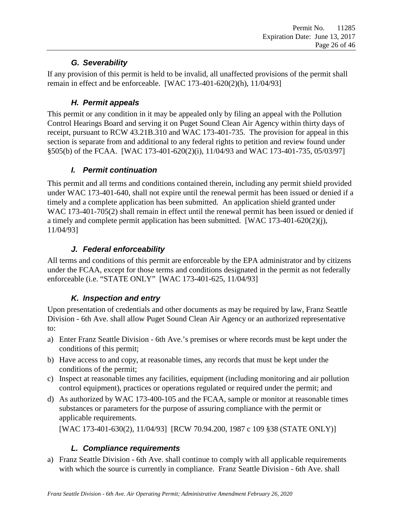# *G. Severability*

<span id="page-25-0"></span>If any provision of this permit is held to be invalid, all unaffected provisions of the permit shall remain in effect and be enforceable. [WAC 173-401-620(2)(h), 11/04/93]

# *H. Permit appeals*

<span id="page-25-1"></span>This permit or any condition in it may be appealed only by filing an appeal with the Pollution Control Hearings Board and serving it on Puget Sound Clean Air Agency within thirty days of receipt, pursuant to RCW 43.21B.310 and WAC 173-401-735. The provision for appeal in this section is separate from and additional to any federal rights to petition and review found under §505(b) of the FCAA. [WAC 173-401-620(2)(i), 11/04/93 and WAC 173-401-735, 05/03/97]

# *I. Permit continuation*

<span id="page-25-2"></span>This permit and all terms and conditions contained therein, including any permit shield provided under WAC 173-401-640, shall not expire until the renewal permit has been issued or denied if a timely and a complete application has been submitted. An application shield granted under WAC 173-401-705(2) shall remain in effect until the renewal permit has been issued or denied if a timely and complete permit application has been submitted. [WAC 173-401-620(2)(j), 11/04/93]

# *J. Federal enforceability*

<span id="page-25-3"></span>All terms and conditions of this permit are enforceable by the EPA administrator and by citizens under the FCAA, except for those terms and conditions designated in the permit as not federally enforceable (i.e. "STATE ONLY" [WAC 173-401-625, 11/04/93]

# *K. Inspection and entry*

<span id="page-25-4"></span>Upon presentation of credentials and other documents as may be required by law, Franz Seattle Division - 6th Ave. shall allow Puget Sound Clean Air Agency or an authorized representative to:

- a) Enter Franz Seattle Division 6th Ave.'s premises or where records must be kept under the conditions of this permit;
- b) Have access to and copy, at reasonable times, any records that must be kept under the conditions of the permit;
- c) Inspect at reasonable times any facilities, equipment (including monitoring and air pollution control equipment), practices or operations regulated or required under the permit; and
- d) As authorized by WAC 173-400-105 and the FCAA, sample or monitor at reasonable times substances or parameters for the purpose of assuring compliance with the permit or applicable requirements.

<span id="page-25-5"></span>[WAC 173-401-630(2), 11/04/93] [RCW 70.94.200, 1987 c 109 §38 (STATE ONLY)]

# *L. Compliance requirements*

a) Franz Seattle Division - 6th Ave. shall continue to comply with all applicable requirements with which the source is currently in compliance. Franz Seattle Division - 6th Ave. shall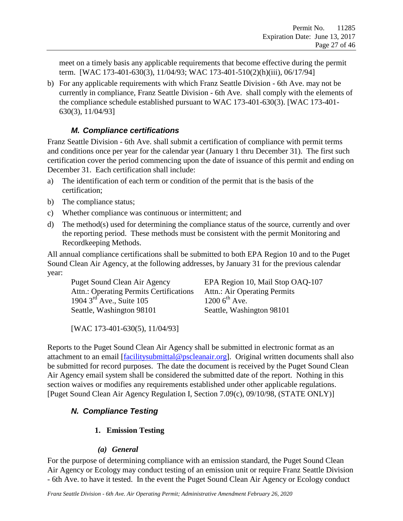meet on a timely basis any applicable requirements that become effective during the permit term. [WAC 173-401-630(3), 11/04/93; WAC 173-401-510(2)(h)(iii), 06/17/94]

b) For any applicable requirements with which Franz Seattle Division - 6th Ave. may not be currently in compliance, Franz Seattle Division - 6th Ave. shall comply with the elements of the compliance schedule established pursuant to WAC 173-401-630(3). [WAC 173-401- 630(3), 11/04/93]

### *M. Compliance certifications*

<span id="page-26-0"></span>Franz Seattle Division - 6th Ave. shall submit a certification of compliance with permit terms and conditions once per year for the calendar year (January 1 thru December 31). The first such certification cover the period commencing upon the date of issuance of this permit and ending on December 31. Each certification shall include:

- a) The identification of each term or condition of the permit that is the basis of the certification;
- b) The compliance status;
- c) Whether compliance was continuous or intermittent; and
- d) The method(s) used for determining the compliance status of the source, currently and over the reporting period. These methods must be consistent with the permit Monitoring and Recordkeeping Methods.

All annual compliance certifications shall be submitted to both EPA Region 10 and to the Puget Sound Clean Air Agency, at the following addresses, by January 31 for the previous calendar year:

Puget Sound Clean Air Agency EPA Region 10, Mail Stop OAQ-107 Attn.: Operating Permits Certifications Attn.: Air Operating Permits 1904  $3^{rd}$  Ave., Suite 105 1200  $6^{th}$  Ave. Seattle, Washington 98101 Seattle, Washington 98101

[WAC 173-401-630(5), 11/04/93]

Reports to the Puget Sound Clean Air Agency shall be submitted in electronic format as an attachment to an email [\[facilitysubmittal@pscleanair.org\]](mailto:facilitysubmittal@pscleanair.org). Original written documents shall also be submitted for record purposes. The date the document is received by the Puget Sound Clean Air Agency email system shall be considered the submitted date of the report. Nothing in this section waives or modifies any requirements established under other applicable regulations. [Puget Sound Clean Air Agency Regulation I, Section 7.09(c), 09/10/98, (STATE ONLY)]

# <span id="page-26-1"></span>*N. Compliance Testing*

# **1. Emission Testing**

### *(a) General*

For the purpose of determining compliance with an emission standard, the Puget Sound Clean Air Agency or Ecology may conduct testing of an emission unit or require Franz Seattle Division - 6th Ave. to have it tested. In the event the Puget Sound Clean Air Agency or Ecology conduct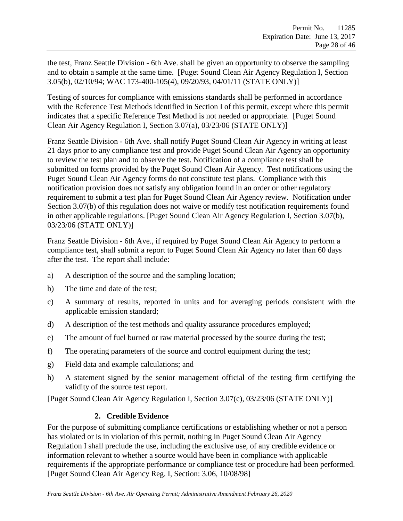the test, Franz Seattle Division - 6th Ave. shall be given an opportunity to observe the sampling and to obtain a sample at the same time. [Puget Sound Clean Air Agency Regulation I, Section 3.05(b), 02/10/94; WAC 173-400-105(4), 09/20/93, 04/01/11 (STATE ONLY)]

Testing of sources for compliance with emissions standards shall be performed in accordance with the Reference Test Methods identified in Section I of this permit, except where this permit indicates that a specific Reference Test Method is not needed or appropriate. [Puget Sound Clean Air Agency Regulation I, Section 3.07(a), 03/23/06 (STATE ONLY)]

Franz Seattle Division - 6th Ave. shall notify Puget Sound Clean Air Agency in writing at least 21 days prior to any compliance test and provide Puget Sound Clean Air Agency an opportunity to review the test plan and to observe the test. Notification of a compliance test shall be submitted on forms provided by the Puget Sound Clean Air Agency. Test notifications using the Puget Sound Clean Air Agency forms do not constitute test plans. Compliance with this notification provision does not satisfy any obligation found in an order or other regulatory requirement to submit a test plan for Puget Sound Clean Air Agency review. Notification under Section 3.07(b) of this regulation does not waive or modify test notification requirements found in other applicable regulations. [Puget Sound Clean Air Agency Regulation I, Section 3.07(b), 03/23/06 (STATE ONLY)]

Franz Seattle Division - 6th Ave., if required by Puget Sound Clean Air Agency to perform a compliance test, shall submit a report to Puget Sound Clean Air Agency no later than 60 days after the test. The report shall include:

- a) A description of the source and the sampling location;
- b) The time and date of the test;
- c) A summary of results, reported in units and for averaging periods consistent with the applicable emission standard;
- d) A description of the test methods and quality assurance procedures employed;
- e) The amount of fuel burned or raw material processed by the source during the test;
- f) The operating parameters of the source and control equipment during the test;
- g) Field data and example calculations; and
- h) A statement signed by the senior management official of the testing firm certifying the validity of the source test report.

[Puget Sound Clean Air Agency Regulation I, Section 3.07(c), 03/23/06 (STATE ONLY)]

#### **2. Credible Evidence**

For the purpose of submitting compliance certifications or establishing whether or not a person has violated or is in violation of this permit, nothing in Puget Sound Clean Air Agency Regulation I shall preclude the use, including the exclusive use, of any credible evidence or information relevant to whether a source would have been in compliance with applicable requirements if the appropriate performance or compliance test or procedure had been performed. [Puget Sound Clean Air Agency Reg. I, Section: 3.06, 10/08/98]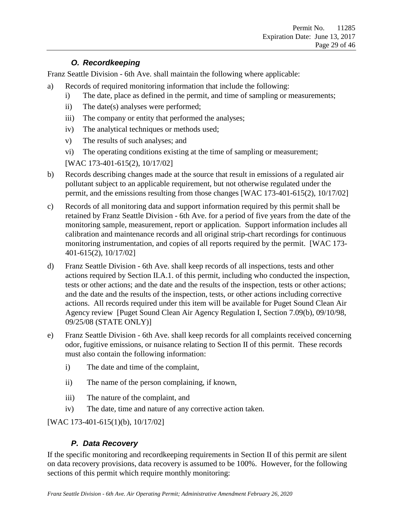#### *O. Recordkeeping*

<span id="page-28-0"></span>Franz Seattle Division - 6th Ave. shall maintain the following where applicable:

- a) Records of required monitoring information that include the following:
	- i) The date, place as defined in the permit, and time of sampling or measurements;
	- ii) The date(s) analyses were performed;
	- iii) The company or entity that performed the analyses;
	- iv) The analytical techniques or methods used;
	- v) The results of such analyses; and
	- vi) The operating conditions existing at the time of sampling or measurement;

[WAC 173-401-615(2), 10/17/02]

- b) Records describing changes made at the source that result in emissions of a regulated air pollutant subject to an applicable requirement, but not otherwise regulated under the permit, and the emissions resulting from those changes [WAC 173-401-615(2), 10/17/02]
- c) Records of all monitoring data and support information required by this permit shall be retained by Franz Seattle Division - 6th Ave. for a period of five years from the date of the monitoring sample, measurement, report or application. Support information includes all calibration and maintenance records and all original strip-chart recordings for continuous monitoring instrumentation, and copies of all reports required by the permit. [WAC 173- 401-615(2), 10/17/02]
- d) Franz Seattle Division 6th Ave. shall keep records of all inspections, tests and other actions required by Section II.A.1. of this permit, including who conducted the inspection, tests or other actions; and the date and the results of the inspection, tests or other actions; and the date and the results of the inspection, tests, or other actions including corrective actions. All records required under this item will be available for Puget Sound Clean Air Agency review [Puget Sound Clean Air Agency Regulation I, Section 7.09(b), 09/10/98, 09/25/08 (STATE ONLY)]
- e) Franz Seattle Division 6th Ave. shall keep records for all complaints received concerning odor, fugitive emissions, or nuisance relating to Section II of this permit. These records must also contain the following information:
	- i) The date and time of the complaint,
	- ii) The name of the person complaining, if known,
	- iii) The nature of the complaint, and
	- iv) The date, time and nature of any corrective action taken.

<span id="page-28-1"></span>[WAC 173-401-615(1)(b), 10/17/02]

# *P. Data Recovery*

If the specific monitoring and recordkeeping requirements in Section II of this permit are silent on data recovery provisions, data recovery is assumed to be 100%. However, for the following sections of this permit which require monthly monitoring: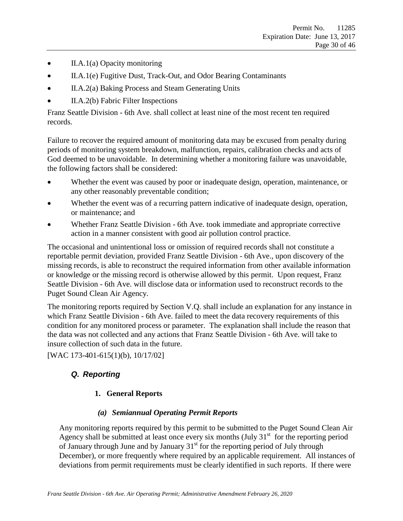- II.A.1(a) [Opacity monitoring](#page-14-2)
- II.A.1(e) [Fugitive Dust, Track-Out, and Odor Bearing Contaminants](#page-16-3)
- II.A.2(a) [Baking Process and Steam Generating Units](#page-17-2)
- II.A.2(b) [Fabric Filter Inspections](#page-17-3)

Franz Seattle Division - 6th Ave. shall collect at least nine of the most recent ten required records.

Failure to recover the required amount of monitoring data may be excused from penalty during periods of monitoring system breakdown, malfunction, repairs, calibration checks and acts of God deemed to be unavoidable. In determining whether a monitoring failure was unavoidable, the following factors shall be considered:

- Whether the event was caused by poor or inadequate design, operation, maintenance, or any other reasonably preventable condition;
- Whether the event was of a recurring pattern indicative of inadequate design, operation, or maintenance; and
- Whether Franz Seattle Division 6th Ave. took immediate and appropriate corrective action in a manner consistent with good air pollution control practice.

The occasional and unintentional loss or omission of required records shall not constitute a reportable permit deviation, provided Franz Seattle Division - 6th Ave., upon discovery of the missing records, is able to reconstruct the required information from other available information or knowledge or the missing record is otherwise allowed by this permit. Upon request, Franz Seattle Division - 6th Ave. will disclose data or information used to reconstruct records to the Puget Sound Clean Air Agency.

The monitoring reports required by Section V.Q. shall include an explanation for any instance in which Franz Seattle Division - 6th Ave. failed to meet the data recovery requirements of this condition for any monitored process or parameter. The explanation shall include the reason that the data was not collected and any actions that Franz Seattle Division - 6th Ave. will take to insure collection of such data in the future.

<span id="page-29-0"></span>[WAC 173-401-615(1)(b), 10/17/02]

# *Q. Reporting*

### **1. General Reports**

### *(a) Semiannual Operating Permit Reports*

<span id="page-29-1"></span>Any monitoring reports required by this permit to be submitted to the Puget Sound Clean Air Agency shall be submitted at least once every six months  $(July 31<sup>st</sup> for the reporting period$ of January through June and by January  $31<sup>st</sup>$  for the reporting period of July through December), or more frequently where required by an applicable requirement. All instances of deviations from permit requirements must be clearly identified in such reports. If there were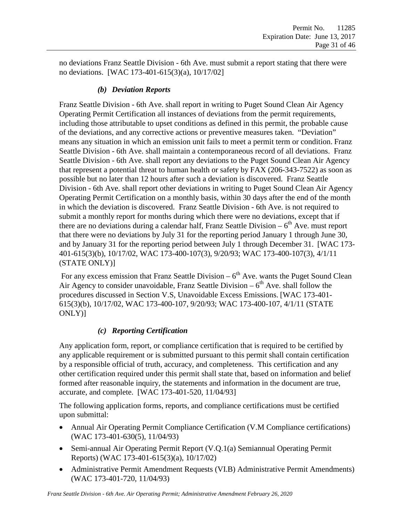<span id="page-30-0"></span>no deviations Franz Seattle Division - 6th Ave. must submit a report stating that there were no deviations. [WAC 173-401-615(3)(a), 10/17/02]

### *(b) Deviation Reports*

Franz Seattle Division - 6th Ave. shall report in writing to Puget Sound Clean Air Agency Operating Permit Certification all instances of deviations from the permit requirements, including those attributable to upset conditions as defined in this permit, the probable cause of the deviations, and any corrective actions or preventive measures taken. "Deviation" means any situation in which an emission unit fails to meet a permit term or condition. Franz Seattle Division - 6th Ave. shall maintain a contemporaneous record of all deviations. Franz Seattle Division - 6th Ave. shall report any deviations to the Puget Sound Clean Air Agency that represent a potential threat to human health or safety by FAX (206-343-7522) as soon as possible but no later than 12 hours after such a deviation is discovered. Franz Seattle Division - 6th Ave. shall report other deviations in writing to Puget Sound Clean Air Agency Operating Permit Certification on a monthly basis, within 30 days after the end of the month in which the deviation is discovered. Franz Seattle Division - 6th Ave. is not required to submit a monthly report for months during which there were no deviations, except that if there are no deviations during a calendar half, Franz Seattle Division  $-6<sup>th</sup>$  Ave. must report that there were no deviations by July 31 for the reporting period January 1 through June 30, and by January 31 for the reporting period between July 1 through December 31. [WAC 173- 401-615(3)(b), 10/17/02, WAC 173-400-107(3), 9/20/93; WAC 173-400-107(3), 4/1/11 (STATE ONLY)]

For any excess emission that Franz Seattle Division –  $6<sup>th</sup>$  Ave. wants the Puget Sound Clean Air Agency to consider unavoidable, Franz Seattle Division  $-6^{th}$  Ave. shall follow the procedures discussed in Section V.S, Unavoidable Excess Emissions. [WAC 173-401- 615(3)(b), 10/17/02, WAC 173-400-107, 9/20/93; WAC 173-400-107, 4/1/11 (STATE ONLY)]

### *(c) Reporting Certification*

<span id="page-30-1"></span>Any application form, report, or compliance certification that is required to be certified by any applicable requirement or is submitted pursuant to this permit shall contain certification by a responsible official of truth, accuracy, and completeness. This certification and any other certification required under this permit shall state that, based on information and belief formed after reasonable inquiry, the statements and information in the document are true, accurate, and complete. [WAC 173-401-520, 11/04/93]

The following application forms, reports, and compliance certifications must be certified upon submittal:

- Annual Air Operating Permit Compliance Certification [\(V.M](#page-26-0) [Compliance certifications\)](#page-26-0) (WAC 173-401-630(5), 11/04/93)
- Semi-annual Air Operating Permit Report [\(V.Q.1\(a\)](#page-29-1) Semiannual Operating Permit [Reports\)](#page-29-1) (WAC 173-401-615(3)(a), 10/17/02)
- Administrative Permit Amendment Requests (VI.B) [Administrative Permit Amendments\)](#page-37-2) (WAC 173-401-720, 11/04/93)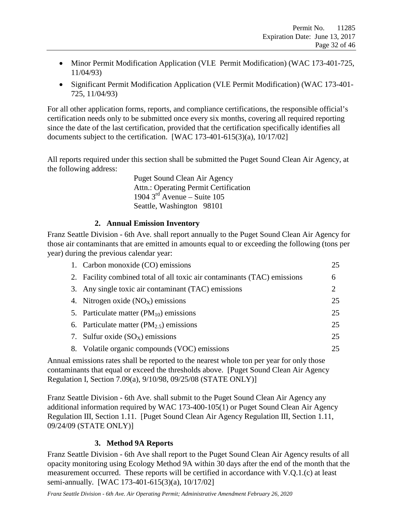- Minor Permit Modification Application (VI.E [Permit Modification\)](#page-40-0) (WAC 173-401-725, 11/04/93)
- Significant Permit Modification Application (VI.E [Permit Modification\)](#page-40-0) (WAC 173-401- 725, 11/04/93)

For all other application forms, reports, and compliance certifications, the responsible official's certification needs only to be submitted once every six months, covering all required reporting since the date of the last certification, provided that the certification specifically identifies all documents subject to the certification. [WAC 173-401-615(3)(a), 10/17/02]

All reports required under this section shall be submitted the Puget Sound Clean Air Agency, at the following address:

> Puget Sound Clean Air Agency Attn.: Operating Permit Certification 1904  $3<sup>rd</sup>$  Avenue – Suite 105 Seattle, Washington 98101

#### **2. Annual Emission Inventory**

Franz Seattle Division - 6th Ave. shall report annually to the Puget Sound Clean Air Agency for those air contaminants that are emitted in amounts equal to or exceeding the following (tons per year) during the previous calendar year:

| 1. Carbon monoxide (CO) emissions                                        | 25 |
|--------------------------------------------------------------------------|----|
| 2. Facility combined total of all toxic air contaminants (TAC) emissions | 6  |
| 3. Any single toxic air contaminant (TAC) emissions                      | 2  |
| 4. Nitrogen oxide $(NOx)$ emissions                                      | 25 |
| 5. Particulate matter $(PM_{10})$ emissions                              | 25 |
| 6. Particulate matter $(PM_{2.5})$ emissions                             | 25 |
| 7. Sulfur oxide $(SO_X)$ emissions                                       | 25 |
| 8. Volatile organic compounds (VOC) emissions                            | 25 |

Annual emissions rates shall be reported to the nearest whole ton per year for only those contaminants that equal or exceed the thresholds above. [Puget Sound Clean Air Agency Regulation I, Section 7.09(a), 9/10/98, 09/25/08 (STATE ONLY)]

Franz Seattle Division - 6th Ave. shall submit to the Puget Sound Clean Air Agency any additional information required by WAC 173-400-105(1) or Puget Sound Clean Air Agency Regulation III, Section 1.11. [Puget Sound Clean Air Agency Regulation III, Section 1.11, 09/24/09 (STATE ONLY)]

#### **3. Method 9A Reports**

Franz Seattle Division - 6th Ave shall report to the Puget Sound Clean Air Agency results of all opacity monitoring using Ecology Method 9A within 30 days after the end of the month that the measurement occurred. These reports will be certified in accordance with V.Q.1.(c) at least semi-annually. [WAC 173-401-615(3)(a), 10/17/02]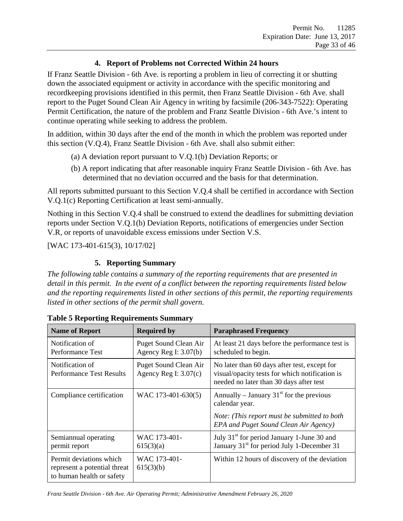### **4. Report of Problems not Corrected Within 24 hours**

If Franz Seattle Division - 6th Ave. is reporting a problem in lieu of correcting it or shutting down the associated equipment or activity in accordance with the specific monitoring and recordkeeping provisions identified in this permit, then Franz Seattle Division - 6th Ave. shall report to the Puget Sound Clean Air Agency in writing by facsimile (206-343-7522): Operating Permit Certification, the nature of the problem and Franz Seattle Division - 6th Ave.'s intent to continue operating while seeking to address the problem.

In addition, within 30 days after the end of the month in which the problem was reported under this section (V.Q.4), Franz Seattle Division - 6th Ave. shall also submit either:

- (a) A deviation report pursuant to [V.Q.1\(b\)](#page-30-0) [Deviation Reports;](#page-30-0) or
- (b) A report indicating that after reasonable inquiry Franz Seattle Division 6th Ave. has determined that no deviation occurred and the basis for that determination.

All reports submitted pursuant to this Section V.Q.4 shall be certified in accordance with Section [V.Q.1\(c\)](#page-30-1) [Reporting Certification](#page-30-1) at least semi-annually.

Nothing in this Section V.Q.4 shall be construed to extend the deadlines for submitting deviation reports under Section [V.Q.1\(b\)](#page-30-0) [Deviation Reports,](#page-30-0) notifications of emergencies under Section [V.R,](#page-33-0) or reports of unavoidable excess emissions under Section [V.S.](#page-34-0)

[WAC 173-401-615(3), 10/17/02]

#### **5. Reporting Summary**

*The following table contains a summary of the reporting requirements that are presented in detail in this permit. In the event of a conflict between the reporting requirements listed below and the reporting requirements listed in other sections of this permit, the reporting requirements listed in other sections of the permit shall govern.*

| <b>Name of Report</b>                                                                | <b>Required by</b>                                      | <b>Paraphrased Frequency</b>                                                                                                              |
|--------------------------------------------------------------------------------------|---------------------------------------------------------|-------------------------------------------------------------------------------------------------------------------------------------------|
| Notification of<br>Performance Test                                                  | <b>Puget Sound Clean Air</b><br>Agency Reg I: $3.07(b)$ | At least 21 days before the performance test is<br>scheduled to begin.                                                                    |
| Notification of<br><b>Performance Test Results</b>                                   | Puget Sound Clean Air<br>Agency Reg I: $3.07(c)$        | No later than 60 days after test, except for<br>visual/opacity tests for which notification is<br>needed no later than 30 days after test |
| Compliance certification                                                             | WAC 173-401-630(5)                                      | Annually – January 31 $^{\rm st}$ for the previous<br>calendar year.                                                                      |
|                                                                                      |                                                         | Note: (This report must be submitted to both<br>EPA and Puget Sound Clean Air Agency)                                                     |
| Semiannual operating<br>permit report                                                | WAC 173-401-<br>615(3)(a)                               | July 31 <sup>st</sup> for period January 1-June 30 and<br>January 31 <sup>st</sup> for period July 1-December 31                          |
| Permit deviations which<br>represent a potential threat<br>to human health or safety | WAC 173-401-<br>615(3)(b)                               | Within 12 hours of discovery of the deviation                                                                                             |

**Table 5 Reporting Requirements Summary**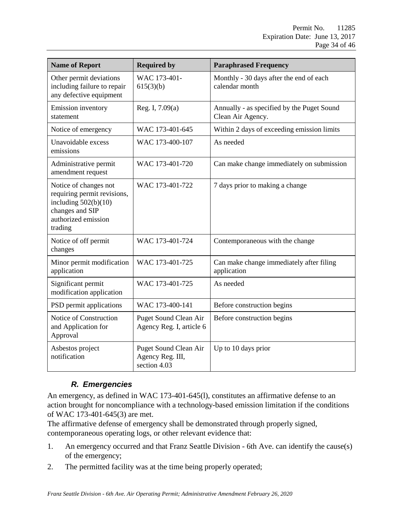| <b>Name of Report</b>                                                                                                               | <b>Required by</b>                                        | <b>Paraphrased Frequency</b>                                    |
|-------------------------------------------------------------------------------------------------------------------------------------|-----------------------------------------------------------|-----------------------------------------------------------------|
| Other permit deviations<br>including failure to repair<br>any defective equipment                                                   | WAC 173-401-<br>615(3)(b)                                 | Monthly - 30 days after the end of each<br>calendar month       |
| Emission inventory<br>statement                                                                                                     | Reg. I, $7.09(a)$                                         | Annually - as specified by the Puget Sound<br>Clean Air Agency. |
| Notice of emergency                                                                                                                 | WAC 173-401-645                                           | Within 2 days of exceeding emission limits                      |
| Unavoidable excess<br>emissions                                                                                                     | WAC 173-400-107                                           | As needed                                                       |
| Administrative permit<br>amendment request                                                                                          | WAC 173-401-720                                           | Can make change immediately on submission                       |
| Notice of changes not<br>requiring permit revisions,<br>including $502(b)(10)$<br>changes and SIP<br>authorized emission<br>trading | WAC 173-401-722                                           | 7 days prior to making a change                                 |
| Notice of off permit<br>changes                                                                                                     | WAC 173-401-724                                           | Contemporaneous with the change                                 |
| Minor permit modification<br>application                                                                                            | WAC 173-401-725                                           | Can make change immediately after filing<br>application         |
| Significant permit<br>modification application                                                                                      | WAC 173-401-725                                           | As needed                                                       |
| PSD permit applications                                                                                                             | WAC 173-400-141                                           | Before construction begins                                      |
| Notice of Construction<br>and Application for<br>Approval                                                                           | <b>Puget Sound Clean Air</b><br>Agency Reg. I, article 6  | Before construction begins                                      |
| Asbestos project<br>notification                                                                                                    | Puget Sound Clean Air<br>Agency Reg. III,<br>section 4.03 | Up to 10 days prior                                             |

# *R. Emergencies*

<span id="page-33-0"></span>An emergency, as defined in WAC 173-401-645(l), constitutes an affirmative defense to an action brought for noncompliance with a technology-based emission limitation if the conditions of WAC 173-401-645(3) are met.

The affirmative defense of emergency shall be demonstrated through properly signed, contemporaneous operating logs, or other relevant evidence that:

- 1. An emergency occurred and that Franz Seattle Division 6th Ave. can identify the cause(s) of the emergency;
- 2. The permitted facility was at the time being properly operated;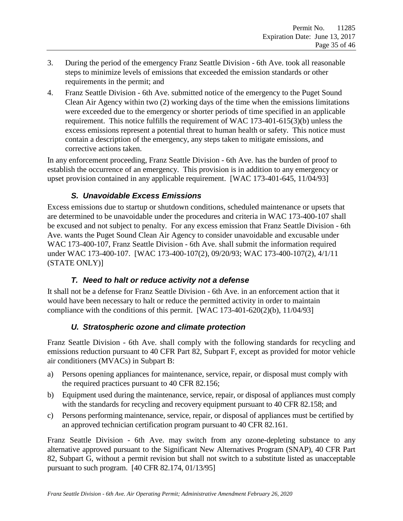- 3. During the period of the emergency Franz Seattle Division 6th Ave. took all reasonable steps to minimize levels of emissions that exceeded the emission standards or other requirements in the permit; and
- 4. Franz Seattle Division 6th Ave. submitted notice of the emergency to the Puget Sound Clean Air Agency within two (2) working days of the time when the emissions limitations were exceeded due to the emergency or shorter periods of time specified in an applicable requirement. This notice fulfills the requirement of WAC 173-401-615(3)(b) unless the excess emissions represent a potential threat to human health or safety. This notice must contain a description of the emergency, any steps taken to mitigate emissions, and corrective actions taken.

In any enforcement proceeding, Franz Seattle Division - 6th Ave. has the burden of proof to establish the occurrence of an emergency. This provision is in addition to any emergency or upset provision contained in any applicable requirement. [WAC 173-401-645, 11/04/93]

### *S. Unavoidable Excess Emissions*

<span id="page-34-0"></span>Excess emissions due to startup or shutdown conditions, scheduled maintenance or upsets that are determined to be unavoidable under the procedures and criteria in WAC 173-400-107 shall be excused and not subject to penalty. For any excess emission that Franz Seattle Division - 6th Ave. wants the Puget Sound Clean Air Agency to consider unavoidable and excusable under WAC 173-400-107, Franz Seattle Division - 6th Ave. shall submit the information required under WAC 173-400-107. [WAC 173-400-107(2), 09/20/93; WAC 173-400-107(2), 4/1/11 (STATE ONLY)]

### *T. Need to halt or reduce activity not a defense*

<span id="page-34-1"></span>It shall not be a defense for Franz Seattle Division - 6th Ave. in an enforcement action that it would have been necessary to halt or reduce the permitted activity in order to maintain compliance with the conditions of this permit. [WAC 173-401-620(2)(b), 11/04/93]

# *U. Stratospheric ozone and climate protection*

<span id="page-34-2"></span>Franz Seattle Division - 6th Ave. shall comply with the following standards for recycling and emissions reduction pursuant to 40 CFR Part 82, Subpart F, except as provided for motor vehicle air conditioners (MVACs) in Subpart B:

- a) Persons opening appliances for maintenance, service, repair, or disposal must comply with the required practices pursuant to 40 CFR 82.156;
- b) Equipment used during the maintenance, service, repair, or disposal of appliances must comply with the standards for recycling and recovery equipment pursuant to 40 CFR 82.158; and
- c) Persons performing maintenance, service, repair, or disposal of appliances must be certified by an approved technician certification program pursuant to 40 CFR 82.161.

Franz Seattle Division - 6th Ave. may switch from any ozone-depleting substance to any alternative approved pursuant to the Significant New Alternatives Program (SNAP), 40 CFR Part 82, Subpart G, without a permit revision but shall not switch to a substitute listed as unacceptable pursuant to such program. [40 CFR 82.174, 01/13/95]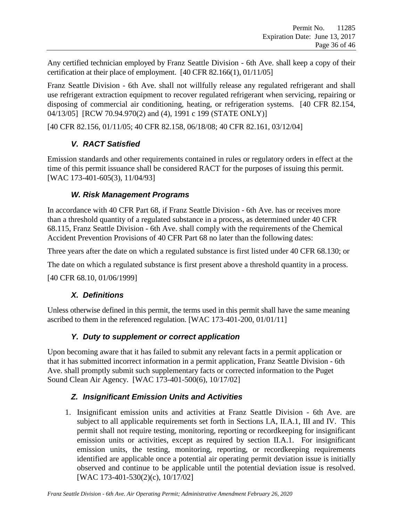Any certified technician employed by Franz Seattle Division - 6th Ave. shall keep a copy of their certification at their place of employment. [40 CFR 82.166(1), 01/11/05]

Franz Seattle Division - 6th Ave. shall not willfully release any regulated refrigerant and shall use refrigerant extraction equipment to recover regulated refrigerant when servicing, repairing or disposing of commercial air conditioning, heating, or refrigeration systems. [40 CFR 82.154, 04/13/05] [RCW 70.94.970(2) and (4), 1991 c 199 (STATE ONLY)]

<span id="page-35-0"></span>[40 CFR 82.156, 01/11/05; 40 CFR 82.158, 06/18/08; 40 CFR 82.161, 03/12/04]

### *V. RACT Satisfied*

Emission standards and other requirements contained in rules or regulatory orders in effect at the time of this permit issuance shall be considered RACT for the purposes of issuing this permit. [WAC 173-401-605(3), 11/04/93]

### *W. Risk Management Programs*

<span id="page-35-1"></span>In accordance with 40 CFR Part 68, if Franz Seattle Division - 6th Ave. has or receives more than a threshold quantity of a regulated substance in a process, as determined under 40 CFR 68.115, Franz Seattle Division - 6th Ave. shall comply with the requirements of the Chemical Accident Prevention Provisions of 40 CFR Part 68 no later than the following dates:

Three years after the date on which a regulated substance is first listed under 40 CFR 68.130; or

The date on which a regulated substance is first present above a threshold quantity in a process.

<span id="page-35-2"></span>[40 CFR 68.10, 01/06/1999]

### *X. Definitions*

<span id="page-35-3"></span>Unless otherwise defined in this permit, the terms used in this permit shall have the same meaning ascribed to them in the referenced regulation. [WAC 173-401-200, 01/01/11]

# *Y. Duty to supplement or correct application*

Upon becoming aware that it has failed to submit any relevant facts in a permit application or that it has submitted incorrect information in a permit application, Franz Seattle Division - 6th Ave. shall promptly submit such supplementary facts or corrected information to the Puget Sound Clean Air Agency. [WAC 173-401-500(6), 10/17/02]

# <span id="page-35-4"></span>*Z. Insignificant Emission Units and Activities*

1. Insignificant emission units and activities at Franz Seattle Division - 6th Ave. are subject to all applicable requirements set forth in Sections I.A, II.A.1, III and IV. This permit shall not require testing, monitoring, reporting or recordkeeping for insignificant emission units or activities, except as required by section II.A.1. For insignificant emission units, the testing, monitoring, reporting, or recordkeeping requirements identified are applicable once a potential air operating permit deviation issue is initially observed and continue to be applicable until the potential deviation issue is resolved. [WAC 173-401-530(2)(c), 10/17/02]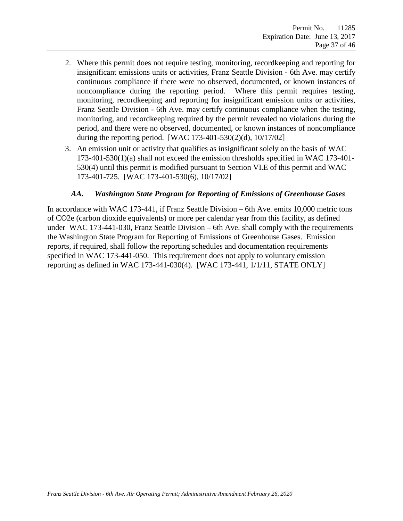- 2. Where this permit does not require testing, monitoring, recordkeeping and reporting for insignificant emissions units or activities, Franz Seattle Division - 6th Ave. may certify continuous compliance if there were no observed, documented, or known instances of noncompliance during the reporting period. Where this permit requires testing, monitoring, recordkeeping and reporting for insignificant emission units or activities, Franz Seattle Division - 6th Ave. may certify continuous compliance when the testing, monitoring, and recordkeeping required by the permit revealed no violations during the period, and there were no observed, documented, or known instances of noncompliance during the reporting period. [WAC 173-401-530(2)(d), 10/17/02]
- 3. An emission unit or activity that qualifies as insignificant solely on the basis of WAC 173-401-530(1)(a) shall not exceed the emission thresholds specified in WAC 173-401- 530(4) until this permit is modified pursuant to Section VI.E of this permit and WAC 173-401-725. [WAC 173-401-530(6), 10/17/02]

#### *AA. Washington State Program for Reporting of Emissions of Greenhouse Gases*

<span id="page-36-0"></span>In accordance with WAC 173-441, if Franz Seattle Division – 6th Ave. emits 10,000 metric tons of CO2e (carbon dioxide equivalents) or more per calendar year from this facility, as defined under WAC 173-441-030, Franz Seattle Division – 6th Ave. shall comply with the requirements the Washington State Program for Reporting of Emissions of Greenhouse Gases. Emission reports, if required, shall follow the reporting schedules and documentation requirements specified in WAC 173-441-050. This requirement does not apply to voluntary emission reporting as defined in WAC 173-441-030(4). [WAC 173-441, 1/1/11, STATE ONLY]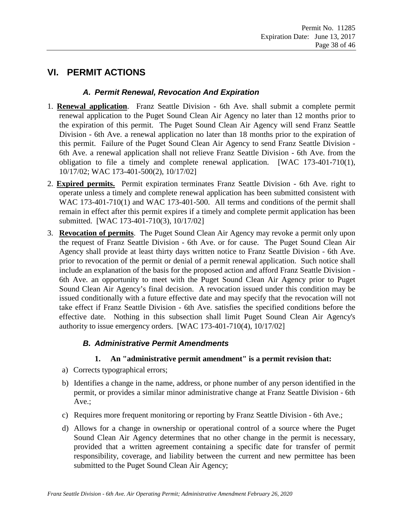# <span id="page-37-1"></span><span id="page-37-0"></span>**VI. PERMIT ACTIONS**

#### *A. Permit Renewal, Revocation And Expiration*

- 1. **Renewal application**. Franz Seattle Division 6th Ave. shall submit a complete permit renewal application to the Puget Sound Clean Air Agency no later than 12 months prior to the expiration of this permit. The Puget Sound Clean Air Agency will send Franz Seattle Division - 6th Ave. a renewal application no later than 18 months prior to the expiration of this permit. Failure of the Puget Sound Clean Air Agency to send Franz Seattle Division - 6th Ave. a renewal application shall not relieve Franz Seattle Division - 6th Ave. from the obligation to file a timely and complete renewal application. [WAC 173-401-710(1), 10/17/02; WAC 173-401-500(2), 10/17/02]
- 2. **Expired permits.** Permit expiration terminates Franz Seattle Division 6th Ave. right to operate unless a timely and complete renewal application has been submitted consistent with WAC 173-401-710(1) and WAC 173-401-500. All terms and conditions of the permit shall remain in effect after this permit expires if a timely and complete permit application has been submitted. [WAC 173-401-710(3), 10/17/02]
- 3. **Revocation of permits**. The Puget Sound Clean Air Agency may revoke a permit only upon the request of Franz Seattle Division - 6th Ave. or for cause. The Puget Sound Clean Air Agency shall provide at least thirty days written notice to Franz Seattle Division - 6th Ave. prior to revocation of the permit or denial of a permit renewal application. Such notice shall include an explanation of the basis for the proposed action and afford Franz Seattle Division - 6th Ave. an opportunity to meet with the Puget Sound Clean Air Agency prior to Puget Sound Clean Air Agency's final decision. A revocation issued under this condition may be issued conditionally with a future effective date and may specify that the revocation will not take effect if Franz Seattle Division - 6th Ave. satisfies the specified conditions before the effective date. Nothing in this subsection shall limit Puget Sound Clean Air Agency's authority to issue emergency orders. [WAC 173-401-710(4), 10/17/02]

### <span id="page-37-2"></span>*B. Administrative Permit Amendments*

#### **1. An "administrative permit amendment" is a permit revision that:**

- a) Corrects typographical errors;
- b) Identifies a change in the name, address, or phone number of any person identified in the permit, or provides a similar minor administrative change at Franz Seattle Division - 6th Ave.;
- c) Requires more frequent monitoring or reporting by Franz Seattle Division 6th Ave.;
- d) Allows for a change in ownership or operational control of a source where the Puget Sound Clean Air Agency determines that no other change in the permit is necessary, provided that a written agreement containing a specific date for transfer of permit responsibility, coverage, and liability between the current and new permittee has been submitted to the Puget Sound Clean Air Agency;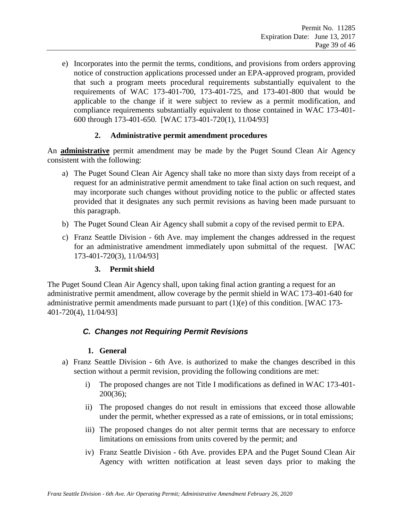e) Incorporates into the permit the terms, conditions, and provisions from orders approving notice of construction applications processed under an EPA-approved program, provided that such a program meets procedural requirements substantially equivalent to the requirements of WAC 173-401-700, 173-401-725, and 173-401-800 that would be applicable to the change if it were subject to review as a permit modification, and compliance requirements substantially equivalent to those contained in WAC 173-401- 600 through 173-401-650. [WAC 173-401-720(1), 11/04/93]

#### **2. Administrative permit amendment procedures**

An **administrative** permit amendment may be made by the Puget Sound Clean Air Agency consistent with the following:

- a) The Puget Sound Clean Air Agency shall take no more than sixty days from receipt of a request for an administrative permit amendment to take final action on such request, and may incorporate such changes without providing notice to the public or affected states provided that it designates any such permit revisions as having been made pursuant to this paragraph.
- b) The Puget Sound Clean Air Agency shall submit a copy of the revised permit to EPA.
- c) Franz Seattle Division 6th Ave. may implement the changes addressed in the request for an administrative amendment immediately upon submittal of the request. [WAC 173-401-720(3), 11/04/93]

#### **3. Permit shield**

The Puget Sound Clean Air Agency shall, upon taking final action granting a request for an administrative permit amendment, allow coverage by the permit shield in WAC 173-401-640 for administrative permit amendments made pursuant to part (1)(e) of this condition. [WAC 173- 401-720(4), 11/04/93]

#### <span id="page-38-0"></span>*C. Changes not Requiring Permit Revisions*

#### **1. General**

- a) Franz Seattle Division 6th Ave. is authorized to make the changes described in this section without a permit revision, providing the following conditions are met:
	- i) The proposed changes are not Title I modifications as defined in WAC 173-401- 200(36);
	- ii) The proposed changes do not result in emissions that exceed those allowable under the permit, whether expressed as a rate of emissions, or in total emissions;
	- iii) The proposed changes do not alter permit terms that are necessary to enforce limitations on emissions from units covered by the permit; and
	- iv) Franz Seattle Division 6th Ave. provides EPA and the Puget Sound Clean Air Agency with written notification at least seven days prior to making the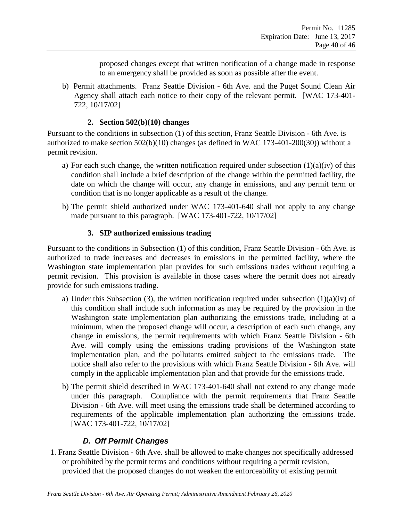proposed changes except that written notification of a change made in response to an emergency shall be provided as soon as possible after the event.

b) Permit attachments. Franz Seattle Division - 6th Ave. and the Puget Sound Clean Air Agency shall attach each notice to their copy of the relevant permit. [WAC 173-401- 722, 10/17/02]

#### **2. Section 502(b)(10) changes**

Pursuant to the conditions in subsection (1) of this section, Franz Seattle Division - 6th Ave. is authorized to make section 502(b)(10) changes (as defined in WAC 173-401-200(30)) without a permit revision.

- a) For each such change, the written notification required under subsection  $(1)(a)(iv)$  of this condition shall include a brief description of the change within the permitted facility, the date on which the change will occur, any change in emissions, and any permit term or condition that is no longer applicable as a result of the change.
- b) The permit shield authorized under WAC 173-401-640 shall not apply to any change made pursuant to this paragraph. [WAC 173-401-722, 10/17/02]

### **3. SIP authorized emissions trading**

Pursuant to the conditions in Subsection (1) of this condition, Franz Seattle Division - 6th Ave. is authorized to trade increases and decreases in emissions in the permitted facility, where the Washington state implementation plan provides for such emissions trades without requiring a permit revision. This provision is available in those cases where the permit does not already provide for such emissions trading.

- a) Under this Subsection (3), the written notification required under subsection (1)(a)(iv) of this condition shall include such information as may be required by the provision in the Washington state implementation plan authorizing the emissions trade, including at a minimum, when the proposed change will occur, a description of each such change, any change in emissions, the permit requirements with which Franz Seattle Division - 6th Ave. will comply using the emissions trading provisions of the Washington state implementation plan, and the pollutants emitted subject to the emissions trade. The notice shall also refer to the provisions with which Franz Seattle Division - 6th Ave. will comply in the applicable implementation plan and that provide for the emissions trade.
- b) The permit shield described in WAC 173-401-640 shall not extend to any change made under this paragraph. Compliance with the permit requirements that Franz Seattle Division - 6th Ave. will meet using the emissions trade shall be determined according to requirements of the applicable implementation plan authorizing the emissions trade. [WAC 173-401-722, 10/17/02]

# *D. Off Permit Changes*

<span id="page-39-0"></span>1. Franz Seattle Division - 6th Ave. shall be allowed to make changes not specifically addressed or prohibited by the permit terms and conditions without requiring a permit revision, provided that the proposed changes do not weaken the enforceability of existing permit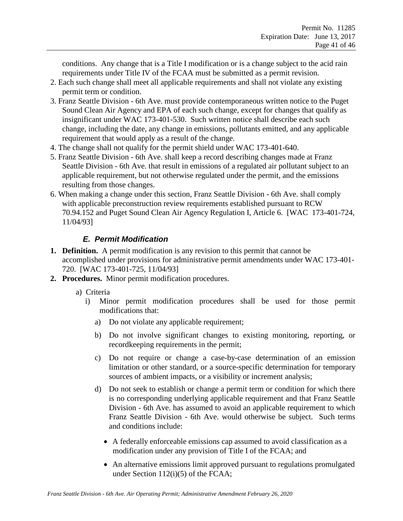conditions. Any change that is a Title I modification or is a change subject to the acid rain requirements under Title IV of the FCAA must be submitted as a permit revision.

- 2. Each such change shall meet all applicable requirements and shall not violate any existing permit term or condition.
- 3. Franz Seattle Division 6th Ave. must provide contemporaneous written notice to the Puget Sound Clean Air Agency and EPA of each such change, except for changes that qualify as insignificant under WAC 173-401-530. Such written notice shall describe each such change, including the date, any change in emissions, pollutants emitted, and any applicable requirement that would apply as a result of the change.
- 4. The change shall not qualify for the permit shield under WAC 173-401-640.
- 5. Franz Seattle Division 6th Ave. shall keep a record describing changes made at Franz Seattle Division - 6th Ave. that result in emissions of a regulated air pollutant subject to an applicable requirement, but not otherwise regulated under the permit, and the emissions resulting from those changes.
- 6. When making a change under this section, Franz Seattle Division 6th Ave. shall comply with applicable preconstruction review requirements established pursuant to RCW 70.94.152 and Puget Sound Clean Air Agency Regulation I, Article 6. [WAC 173-401-724, 11/04/93]

# *E. Permit Modification*

- <span id="page-40-0"></span>**1. Definition.** A permit modification is any revision to this permit that cannot be accomplished under provisions for administrative permit amendments under WAC 173-401- 720. [WAC 173-401-725, 11/04/93]
- **2. Procedures.** Minor permit modification procedures.
	- a)Criteria
		- i) Minor permit modification procedures shall be used for those permit modifications that:
			- a) Do not violate any applicable requirement;
			- b) Do not involve significant changes to existing monitoring, reporting, or recordkeeping requirements in the permit;
			- c) Do not require or change a case-by-case determination of an emission limitation or other standard, or a source-specific determination for temporary sources of ambient impacts, or a visibility or increment analysis;
			- d) Do not seek to establish or change a permit term or condition for which there is no corresponding underlying applicable requirement and that Franz Seattle Division - 6th Ave. has assumed to avoid an applicable requirement to which Franz Seattle Division - 6th Ave. would otherwise be subject. Such terms and conditions include:
				- A federally enforceable emissions cap assumed to avoid classification as a modification under any provision of Title I of the FCAA; and
				- An alternative emissions limit approved pursuant to regulations promulgated under Section 112(i)(5) of the FCAA;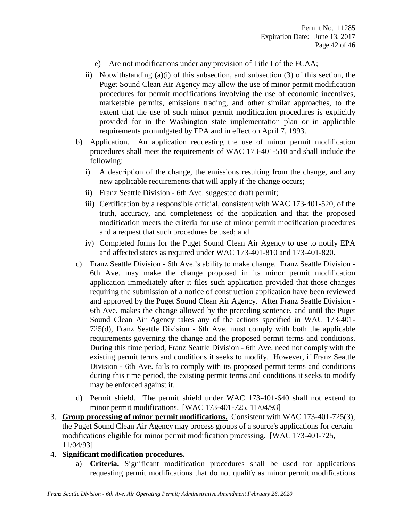- e) Are not modifications under any provision of Title I of the FCAA;
- ii) Notwithstanding (a)(i) of this subsection, and subsection (3) of this section, the Puget Sound Clean Air Agency may allow the use of minor permit modification procedures for permit modifications involving the use of economic incentives, marketable permits, emissions trading, and other similar approaches, to the extent that the use of such minor permit modification procedures is explicitly provided for in the Washington state implementation plan or in applicable requirements promulgated by EPA and in effect on April 7, 1993.
- b) Application. An application requesting the use of minor permit modification procedures shall meet the requirements of WAC 173-401-510 and shall include the following:
	- i) A description of the change, the emissions resulting from the change, and any new applicable requirements that will apply if the change occurs;
	- ii) Franz Seattle Division 6th Ave. suggested draft permit;
	- iii) Certification by a responsible official, consistent with WAC 173-401-520, of the truth, accuracy, and completeness of the application and that the proposed modification meets the criteria for use of minor permit modification procedures and a request that such procedures be used; and
	- iv) Completed forms for the Puget Sound Clean Air Agency to use to notify EPA and affected states as required under WAC 173-401-810 and 173-401-820.
- c) Franz Seattle Division 6th Ave.'s ability to make change. Franz Seattle Division 6th Ave. may make the change proposed in its minor permit modification application immediately after it files such application provided that those changes requiring the submission of a notice of construction application have been reviewed and approved by the Puget Sound Clean Air Agency. After Franz Seattle Division - 6th Ave. makes the change allowed by the preceding sentence, and until the Puget Sound Clean Air Agency takes any of the actions specified in WAC 173-401- 725(d), Franz Seattle Division - 6th Ave. must comply with both the applicable requirements governing the change and the proposed permit terms and conditions. During this time period, Franz Seattle Division - 6th Ave. need not comply with the existing permit terms and conditions it seeks to modify. However, if Franz Seattle Division - 6th Ave. fails to comply with its proposed permit terms and conditions during this time period, the existing permit terms and conditions it seeks to modify may be enforced against it.
- d) Permit shield. The permit shield under WAC 173-401-640 shall not extend to minor permit modifications. [WAC 173-401-725, 11/04/93]
- 3. **Group processing of minor permit modifications.** Consistent with WAC 173-401-725(3), the Puget Sound Clean Air Agency may process groups of a source's applications for certain modifications eligible for minor permit modification processing. [WAC 173-401-725, 11/04/93]
- 4. **Significant modification procedures.**
	- a) **Criteria.** Significant modification procedures shall be used for applications requesting permit modifications that do not qualify as minor permit modifications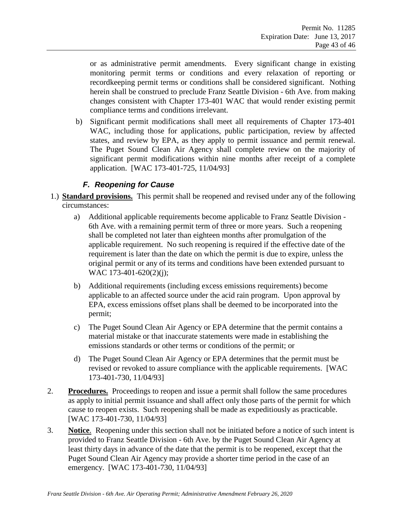or as administrative permit amendments. Every significant change in existing monitoring permit terms or conditions and every relaxation of reporting or recordkeeping permit terms or conditions shall be considered significant. Nothing herein shall be construed to preclude Franz Seattle Division - 6th Ave. from making changes consistent with Chapter 173-401 WAC that would render existing permit compliance terms and conditions irrelevant.

b) Significant permit modifications shall meet all requirements of Chapter 173-401 WAC, including those for applications, public participation, review by affected states, and review by EPA, as they apply to permit issuance and permit renewal. The Puget Sound Clean Air Agency shall complete review on the majority of significant permit modifications within nine months after receipt of a complete application. [WAC 173-401-725, 11/04/93]

### *F. Reopening for Cause*

- <span id="page-42-0"></span>1.) **Standard provisions.** This permit shall be reopened and revised under any of the following circumstances:
	- a) Additional applicable requirements become applicable to Franz Seattle Division 6th Ave. with a remaining permit term of three or more years. Such a reopening shall be completed not later than eighteen months after promulgation of the applicable requirement. No such reopening is required if the effective date of the requirement is later than the date on which the permit is due to expire, unless the original permit or any of its terms and conditions have been extended pursuant to WAC 173-401-620(2)(j);
	- b) Additional requirements (including excess emissions requirements) become applicable to an affected source under the acid rain program. Upon approval by EPA, excess emissions offset plans shall be deemed to be incorporated into the permit;
	- c) The Puget Sound Clean Air Agency or EPA determine that the permit contains a material mistake or that inaccurate statements were made in establishing the emissions standards or other terms or conditions of the permit; or
	- d) The Puget Sound Clean Air Agency or EPA determines that the permit must be revised or revoked to assure compliance with the applicable requirements. [WAC 173-401-730, 11/04/93]
- 2. **Procedures.** Proceedings to reopen and issue a permit shall follow the same procedures as apply to initial permit issuance and shall affect only those parts of the permit for which cause to reopen exists. Such reopening shall be made as expeditiously as practicable. [WAC 173-401-730, 11/04/93]
- 3. **Notice**. Reopening under this section shall not be initiated before a notice of such intent is provided to Franz Seattle Division - 6th Ave. by the Puget Sound Clean Air Agency at least thirty days in advance of the date that the permit is to be reopened, except that the Puget Sound Clean Air Agency may provide a shorter time period in the case of an emergency. [WAC 173-401-730, 11/04/93]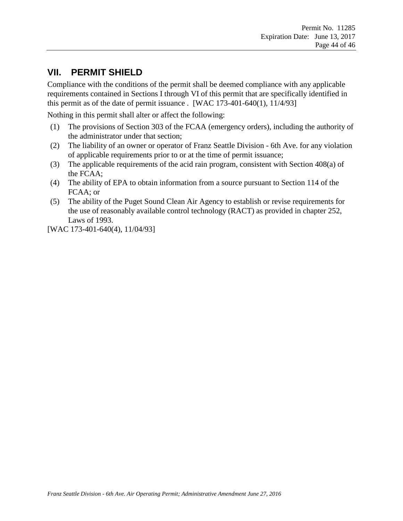# <span id="page-43-0"></span>**VII. PERMIT SHIELD**

Compliance with the conditions of the permit shall be deemed compliance with any applicable requirements contained in Sections I through VI of this permit that are specifically identified in this permit as of the date of permit issuance . [WAC  $173-401-640(1)$ ,  $11/4/93$ ]

Nothing in this permit shall alter or affect the following:

- (1) The provisions of Section 303 of the FCAA (emergency orders), including the authority of the administrator under that section;
- (2) The liability of an owner or operator of Franz Seattle Division 6th Ave. for any violation of applicable requirements prior to or at the time of permit issuance;
- (3) The applicable requirements of the acid rain program, consistent with Section 408(a) of the FCAA;
- (4) The ability of EPA to obtain information from a source pursuant to Section 114 of the FCAA; or
- (5) The ability of the Puget Sound Clean Air Agency to establish or revise requirements for the use of reasonably available control technology (RACT) as provided in chapter 252, Laws of 1993.

[WAC 173-401-640(4), 11/04/93]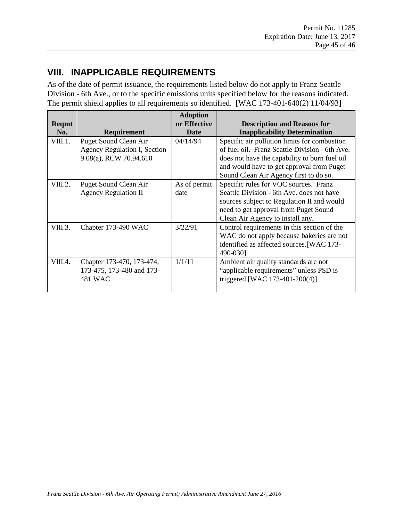# <span id="page-44-0"></span>**VIII. INAPPLICABLE REQUIREMENTS**

As of the date of permit issuance, the requirements listed below do not apply to Franz Seattle Division - 6th Ave., or to the specific emissions units specified below for the reasons indicated. The permit shield applies to all requirements so identified. [WAC 173-401-640(2) 11/04/93]

| Reqmt   |                              | <b>Adoption</b><br>or Effective | <b>Description and Reasons for</b>             |
|---------|------------------------------|---------------------------------|------------------------------------------------|
| No.     | Requirement                  | <b>Date</b>                     | <b>Inapplicability Determination</b>           |
| VIII.1. | <b>Puget Sound Clean Air</b> | 04/14/94                        | Specific air pollution limits for combustion   |
|         | Agency Regulation I, Section |                                 | of fuel oil. Franz Seattle Division - 6th Ave. |
|         | 9.08(a), RCW 70.94.610       |                                 | does not have the capability to burn fuel oil  |
|         |                              |                                 | and would have to get approval from Puget      |
|         |                              |                                 | Sound Clean Air Agency first to do so.         |
| VIII.2. | Puget Sound Clean Air        | As of permit                    | Specific rules for VOC sources. Franz          |
|         | <b>Agency Regulation II</b>  | date                            | Seattle Division - 6th Ave. does not have      |
|         |                              |                                 | sources subject to Regulation II and would     |
|         |                              |                                 | need to get approval from Puget Sound          |
|         |                              |                                 | Clean Air Agency to install any.               |
| VIII.3. | Chapter 173-490 WAC          | 3/22/91                         | Control requirements in this section of the    |
|         |                              |                                 | WAC do not apply because bakeries are not      |
|         |                              |                                 | identified as affected sources. [WAC 173-      |
|         |                              |                                 | 490-0301                                       |
| VIII.4. | Chapter 173-470, 173-474,    | 1/1/11                          | Ambient air quality standards are not          |
|         | 173-475, 173-480 and 173-    |                                 | "applicable requirements" unless PSD is        |
|         | 481 WAC                      |                                 | triggered [WAC 173-401-200(4)]                 |
|         |                              |                                 |                                                |